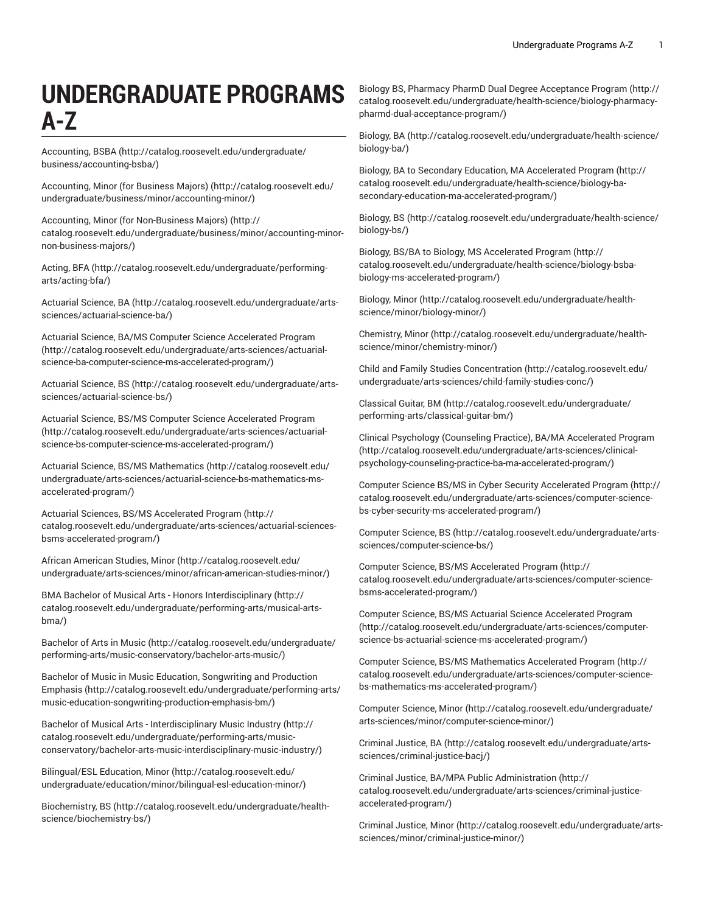# **UNDERGRADUATE PROGRAMS A-Z**

[Accounting, BSBA](http://catalog.roosevelt.edu/undergraduate/business/accounting-bsba/) ([http://catalog.roosevelt.edu/undergraduate/](http://catalog.roosevelt.edu/undergraduate/business/accounting-bsba/) [business/accounting-bsba/](http://catalog.roosevelt.edu/undergraduate/business/accounting-bsba/))

[Accounting, Minor \(for Business Majors\) \(http://catalog.roosevelt.edu/](http://catalog.roosevelt.edu/undergraduate/business/minor/accounting-minor/) [undergraduate/business/minor/accounting-minor/\)](http://catalog.roosevelt.edu/undergraduate/business/minor/accounting-minor/)

[Accounting, Minor \(for Non-Business Majors\) \(http://](http://catalog.roosevelt.edu/undergraduate/business/minor/accounting-minor-non-business-majors/) [catalog.roosevelt.edu/undergraduate/business/minor/accounting-minor](http://catalog.roosevelt.edu/undergraduate/business/minor/accounting-minor-non-business-majors/)[non-business-majors/\)](http://catalog.roosevelt.edu/undergraduate/business/minor/accounting-minor-non-business-majors/)

[Acting,](http://catalog.roosevelt.edu/undergraduate/performing-arts/acting-bfa/) BFA [\(http://catalog.roosevelt.edu/undergraduate/performing](http://catalog.roosevelt.edu/undergraduate/performing-arts/acting-bfa/)[arts/acting-bfa/](http://catalog.roosevelt.edu/undergraduate/performing-arts/acting-bfa/))

[Actuarial Science, BA \(http://catalog.roosevelt.edu/undergraduate/arts](http://catalog.roosevelt.edu/undergraduate/arts-sciences/actuarial-science-ba/)[sciences/actuarial-science-ba/\)](http://catalog.roosevelt.edu/undergraduate/arts-sciences/actuarial-science-ba/)

Actuarial Science, BA/MS Computer Science [Accelerated](http://catalog.roosevelt.edu/undergraduate/arts-sciences/actuarial-science-ba-computer-science-ms-accelerated-program/) Program ([http://catalog.roosevelt.edu/undergraduate/arts-sciences/actuarial](http://catalog.roosevelt.edu/undergraduate/arts-sciences/actuarial-science-ba-computer-science-ms-accelerated-program/)[science-ba-computer-science-ms-accelerated-program/\)](http://catalog.roosevelt.edu/undergraduate/arts-sciences/actuarial-science-ba-computer-science-ms-accelerated-program/)

[Actuarial Science, BS](http://catalog.roosevelt.edu/undergraduate/arts-sciences/actuarial-science-bs/) ([http://catalog.roosevelt.edu/undergraduate/arts](http://catalog.roosevelt.edu/undergraduate/arts-sciences/actuarial-science-bs/)[sciences/actuarial-science-bs/\)](http://catalog.roosevelt.edu/undergraduate/arts-sciences/actuarial-science-bs/)

Actuarial Science, BS/MS Computer Science [Accelerated](http://catalog.roosevelt.edu/undergraduate/arts-sciences/actuarial-science-bs-computer-science-ms-accelerated-program/) Program ([http://catalog.roosevelt.edu/undergraduate/arts-sciences/actuarial](http://catalog.roosevelt.edu/undergraduate/arts-sciences/actuarial-science-bs-computer-science-ms-accelerated-program/)[science-bs-computer-science-ms-accelerated-program/\)](http://catalog.roosevelt.edu/undergraduate/arts-sciences/actuarial-science-bs-computer-science-ms-accelerated-program/)

[Actuarial Science, BS/MS Mathematics](http://catalog.roosevelt.edu/undergraduate/arts-sciences/actuarial-science-bs-mathematics-ms-accelerated-program/) ([http://catalog.roosevelt.edu/](http://catalog.roosevelt.edu/undergraduate/arts-sciences/actuarial-science-bs-mathematics-ms-accelerated-program/) [undergraduate/arts-sciences/actuarial-science-bs-mathematics-ms](http://catalog.roosevelt.edu/undergraduate/arts-sciences/actuarial-science-bs-mathematics-ms-accelerated-program/)[accelerated-program/\)](http://catalog.roosevelt.edu/undergraduate/arts-sciences/actuarial-science-bs-mathematics-ms-accelerated-program/)

Actuarial Sciences, BS/MS [Accelerated](http://catalog.roosevelt.edu/undergraduate/arts-sciences/actuarial-sciences-bsms-accelerated-program/) Program [\(http://](http://catalog.roosevelt.edu/undergraduate/arts-sciences/actuarial-sciences-bsms-accelerated-program/) [catalog.roosevelt.edu/undergraduate/arts-sciences/actuarial-sciences](http://catalog.roosevelt.edu/undergraduate/arts-sciences/actuarial-sciences-bsms-accelerated-program/)[bsms-accelerated-program/\)](http://catalog.roosevelt.edu/undergraduate/arts-sciences/actuarial-sciences-bsms-accelerated-program/)

[African American Studies, Minor \(http://catalog.roosevelt.edu/](http://catalog.roosevelt.edu/undergraduate/arts-sciences/minor/african-american-studies-minor/) [undergraduate/arts-sciences/minor/african-american-studies-minor/](http://catalog.roosevelt.edu/undergraduate/arts-sciences/minor/african-american-studies-minor/))

BMA Bachelor of Musical Arts - Honors [Interdisciplinary \(http://](http://catalog.roosevelt.edu/undergraduate/performing-arts/musical-arts-bma/) [catalog.roosevelt.edu/undergraduate/performing-arts/musical-arts](http://catalog.roosevelt.edu/undergraduate/performing-arts/musical-arts-bma/)[bma/](http://catalog.roosevelt.edu/undergraduate/performing-arts/musical-arts-bma/))

[Bachelor](http://catalog.roosevelt.edu/undergraduate/performing-arts/music-conservatory/bachelor-arts-music/) of Arts in Music [\(http://catalog.roosevelt.edu/undergraduate/](http://catalog.roosevelt.edu/undergraduate/performing-arts/music-conservatory/bachelor-arts-music/) [performing-arts/music-conservatory/bachelor-arts-music/\)](http://catalog.roosevelt.edu/undergraduate/performing-arts/music-conservatory/bachelor-arts-music/)

Bachelor of Music in Music Education, [Songwriting](http://catalog.roosevelt.edu/undergraduate/performing-arts/music-education-songwriting-production-emphasis-bm/) and Production [Emphasis \(http://catalog.roosevelt.edu/undergraduate/performing-arts/](http://catalog.roosevelt.edu/undergraduate/performing-arts/music-education-songwriting-production-emphasis-bm/) [music-education-songwriting-production-emphasis-bm/\)](http://catalog.roosevelt.edu/undergraduate/performing-arts/music-education-songwriting-production-emphasis-bm/)

Bachelor of Musical Arts - [Interdisciplinary](http://catalog.roosevelt.edu/undergraduate/performing-arts/music-conservatory/bachelor-arts-music-interdisciplinary-music-industry/) Music Industry [\(http://](http://catalog.roosevelt.edu/undergraduate/performing-arts/music-conservatory/bachelor-arts-music-interdisciplinary-music-industry/) [catalog.roosevelt.edu/undergraduate/performing-arts/music](http://catalog.roosevelt.edu/undergraduate/performing-arts/music-conservatory/bachelor-arts-music-interdisciplinary-music-industry/)[conservatory/bachelor-arts-music-interdisciplinary-music-industry/\)](http://catalog.roosevelt.edu/undergraduate/performing-arts/music-conservatory/bachelor-arts-music-interdisciplinary-music-industry/)

[Bilingual/ESL](http://catalog.roosevelt.edu/undergraduate/education/minor/bilingual-esl-education-minor/) Education, Minor ([http://catalog.roosevelt.edu/](http://catalog.roosevelt.edu/undergraduate/education/minor/bilingual-esl-education-minor/) [undergraduate/education/minor/bilingual-esl-education-minor/\)](http://catalog.roosevelt.edu/undergraduate/education/minor/bilingual-esl-education-minor/)

[Biochemistry,](http://catalog.roosevelt.edu/undergraduate/health-science/biochemistry-bs/) BS [\(http://catalog.roosevelt.edu/undergraduate/health](http://catalog.roosevelt.edu/undergraduate/health-science/biochemistry-bs/)[science/biochemistry-bs/](http://catalog.roosevelt.edu/undergraduate/health-science/biochemistry-bs/))

Biology BS, Pharmacy PharmD Dual Degree [Acceptance](http://catalog.roosevelt.edu/undergraduate/health-science/biology-pharmacy-pharmd-dual-acceptance-program/) Program ([http://](http://catalog.roosevelt.edu/undergraduate/health-science/biology-pharmacy-pharmd-dual-acceptance-program/) [catalog.roosevelt.edu/undergraduate/health-science/biology-pharmacy](http://catalog.roosevelt.edu/undergraduate/health-science/biology-pharmacy-pharmd-dual-acceptance-program/)[pharmd-dual-acceptance-program/\)](http://catalog.roosevelt.edu/undergraduate/health-science/biology-pharmacy-pharmd-dual-acceptance-program/)

[Biology,](http://catalog.roosevelt.edu/undergraduate/health-science/biology-ba/) BA [\(http://catalog.roosevelt.edu/undergraduate/health-science/](http://catalog.roosevelt.edu/undergraduate/health-science/biology-ba/) [biology-ba/](http://catalog.roosevelt.edu/undergraduate/health-science/biology-ba/))

Biology, BA to Secondary Education, MA [Accelerated](http://catalog.roosevelt.edu/undergraduate/health-science/biology-ba-secondary-education-ma-accelerated-program/) Program [\(http://](http://catalog.roosevelt.edu/undergraduate/health-science/biology-ba-secondary-education-ma-accelerated-program/) [catalog.roosevelt.edu/undergraduate/health-science/biology-ba](http://catalog.roosevelt.edu/undergraduate/health-science/biology-ba-secondary-education-ma-accelerated-program/)[secondary-education-ma-accelerated-program/\)](http://catalog.roosevelt.edu/undergraduate/health-science/biology-ba-secondary-education-ma-accelerated-program/)

[Biology,](http://catalog.roosevelt.edu/undergraduate/health-science/biology-bs/) BS ([http://catalog.roosevelt.edu/undergraduate/health-science/](http://catalog.roosevelt.edu/undergraduate/health-science/biology-bs/) [biology-bs/\)](http://catalog.roosevelt.edu/undergraduate/health-science/biology-bs/)

Biology, BS/BA to Biology, MS [Accelerated](http://catalog.roosevelt.edu/undergraduate/health-science/biology-bsba-biology-ms-accelerated-program/) Program [\(http://](http://catalog.roosevelt.edu/undergraduate/health-science/biology-bsba-biology-ms-accelerated-program/) [catalog.roosevelt.edu/undergraduate/health-science/biology-bsba](http://catalog.roosevelt.edu/undergraduate/health-science/biology-bsba-biology-ms-accelerated-program/)[biology-ms-accelerated-program/](http://catalog.roosevelt.edu/undergraduate/health-science/biology-bsba-biology-ms-accelerated-program/))

[Biology,](http://catalog.roosevelt.edu/undergraduate/health-science/minor/biology-minor/) Minor ([http://catalog.roosevelt.edu/undergraduate/health](http://catalog.roosevelt.edu/undergraduate/health-science/minor/biology-minor/)[science/minor/biology-minor/](http://catalog.roosevelt.edu/undergraduate/health-science/minor/biology-minor/))

[Chemistry,](http://catalog.roosevelt.edu/undergraduate/health-science/minor/chemistry-minor/) Minor [\(http://catalog.roosevelt.edu/undergraduate/health](http://catalog.roosevelt.edu/undergraduate/health-science/minor/chemistry-minor/)[science/minor/chemistry-minor/\)](http://catalog.roosevelt.edu/undergraduate/health-science/minor/chemistry-minor/)

Child and Family Studies [Concentration](http://catalog.roosevelt.edu/undergraduate/arts-sciences/child-family-studies-conc/) ([http://catalog.roosevelt.edu/](http://catalog.roosevelt.edu/undergraduate/arts-sciences/child-family-studies-conc/) [undergraduate/arts-sciences/child-family-studies-conc/](http://catalog.roosevelt.edu/undergraduate/arts-sciences/child-family-studies-conc/))

[Classical](http://catalog.roosevelt.edu/undergraduate/performing-arts/classical-guitar-bm/) Guitar, BM [\(http://catalog.roosevelt.edu/undergraduate/](http://catalog.roosevelt.edu/undergraduate/performing-arts/classical-guitar-bm/) [performing-arts/classical-guitar-bm/\)](http://catalog.roosevelt.edu/undergraduate/performing-arts/classical-guitar-bm/)

Clinical Psychology [\(Counseling](http://catalog.roosevelt.edu/undergraduate/arts-sciences/clinical-psychology-counseling-practice-ba-ma-accelerated-program/) Practice), BA/MA Accelerated Program [\(http://catalog.roosevelt.edu/undergraduate/arts-sciences/clinical](http://catalog.roosevelt.edu/undergraduate/arts-sciences/clinical-psychology-counseling-practice-ba-ma-accelerated-program/)[psychology-counseling-practice-ba-ma-accelerated-program/](http://catalog.roosevelt.edu/undergraduate/arts-sciences/clinical-psychology-counseling-practice-ba-ma-accelerated-program/))

Computer Science BS/MS in Cyber Security [Accelerated](http://catalog.roosevelt.edu/undergraduate/arts-sciences/computer-science-bs-cyber-security-ms-accelerated-program/) Program ([http://](http://catalog.roosevelt.edu/undergraduate/arts-sciences/computer-science-bs-cyber-security-ms-accelerated-program/) [catalog.roosevelt.edu/undergraduate/arts-sciences/computer-science](http://catalog.roosevelt.edu/undergraduate/arts-sciences/computer-science-bs-cyber-security-ms-accelerated-program/)[bs-cyber-security-ms-accelerated-program/](http://catalog.roosevelt.edu/undergraduate/arts-sciences/computer-science-bs-cyber-security-ms-accelerated-program/))

[Computer Science, BS](http://catalog.roosevelt.edu/undergraduate/arts-sciences/computer-science-bs/) ([http://catalog.roosevelt.edu/undergraduate/arts](http://catalog.roosevelt.edu/undergraduate/arts-sciences/computer-science-bs/)[sciences/computer-science-bs/](http://catalog.roosevelt.edu/undergraduate/arts-sciences/computer-science-bs/))

Computer Science, BS/MS [Accelerated](http://catalog.roosevelt.edu/undergraduate/arts-sciences/computer-science-bsms-accelerated-program/) Program ([http://](http://catalog.roosevelt.edu/undergraduate/arts-sciences/computer-science-bsms-accelerated-program/) [catalog.roosevelt.edu/undergraduate/arts-sciences/computer-science](http://catalog.roosevelt.edu/undergraduate/arts-sciences/computer-science-bsms-accelerated-program/)[bsms-accelerated-program/](http://catalog.roosevelt.edu/undergraduate/arts-sciences/computer-science-bsms-accelerated-program/))

Computer Science, BS/MS Actuarial Science [Accelerated](http://catalog.roosevelt.edu/undergraduate/arts-sciences/computer-science-bs-actuarial-science-ms-accelerated-program/) Program [\(http://catalog.roosevelt.edu/undergraduate/arts-sciences/computer](http://catalog.roosevelt.edu/undergraduate/arts-sciences/computer-science-bs-actuarial-science-ms-accelerated-program/)[science-bs-actuarial-science-ms-accelerated-program/\)](http://catalog.roosevelt.edu/undergraduate/arts-sciences/computer-science-bs-actuarial-science-ms-accelerated-program/)

Computer Science, BS/MS [Mathematics](http://catalog.roosevelt.edu/undergraduate/arts-sciences/computer-science-bs-mathematics-ms-accelerated-program/) Accelerated Program [\(http://](http://catalog.roosevelt.edu/undergraduate/arts-sciences/computer-science-bs-mathematics-ms-accelerated-program/) [catalog.roosevelt.edu/undergraduate/arts-sciences/computer-science](http://catalog.roosevelt.edu/undergraduate/arts-sciences/computer-science-bs-mathematics-ms-accelerated-program/)[bs-mathematics-ms-accelerated-program/](http://catalog.roosevelt.edu/undergraduate/arts-sciences/computer-science-bs-mathematics-ms-accelerated-program/))

[Computer Science, Minor \(http://catalog.roosevelt.edu/undergraduate/](http://catalog.roosevelt.edu/undergraduate/arts-sciences/minor/computer-science-minor/) [arts-sciences/minor/computer-science-minor/\)](http://catalog.roosevelt.edu/undergraduate/arts-sciences/minor/computer-science-minor/)

[Criminal Justice, BA](http://catalog.roosevelt.edu/undergraduate/arts-sciences/criminal-justice-bacj/) ([http://catalog.roosevelt.edu/undergraduate/arts](http://catalog.roosevelt.edu/undergraduate/arts-sciences/criminal-justice-bacj/)[sciences/criminal-justice-bacj/](http://catalog.roosevelt.edu/undergraduate/arts-sciences/criminal-justice-bacj/))

Criminal Justice, BA/MPA Public [Administration](http://catalog.roosevelt.edu/undergraduate/arts-sciences/criminal-justice-accelerated-program/) ([http://](http://catalog.roosevelt.edu/undergraduate/arts-sciences/criminal-justice-accelerated-program/) [catalog.roosevelt.edu/undergraduate/arts-sciences/criminal-justice](http://catalog.roosevelt.edu/undergraduate/arts-sciences/criminal-justice-accelerated-program/)[accelerated-program/](http://catalog.roosevelt.edu/undergraduate/arts-sciences/criminal-justice-accelerated-program/))

[Criminal Justice, Minor](http://catalog.roosevelt.edu/undergraduate/arts-sciences/minor/criminal-justice-minor/) ([http://catalog.roosevelt.edu/undergraduate/arts](http://catalog.roosevelt.edu/undergraduate/arts-sciences/minor/criminal-justice-minor/)[sciences/minor/criminal-justice-minor/](http://catalog.roosevelt.edu/undergraduate/arts-sciences/minor/criminal-justice-minor/))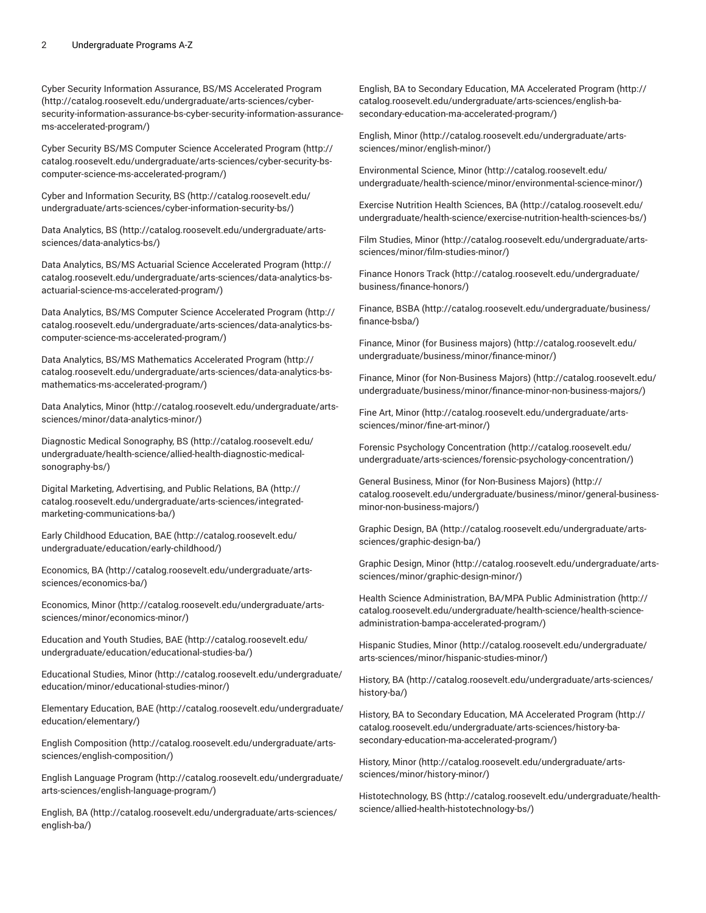Cyber Security Information Assurance, BS/MS [Accelerated](http://catalog.roosevelt.edu/undergraduate/arts-sciences/cyber-security-information-assurance-bs-cyber-security-information-assurance-ms-accelerated-program/) Program ([http://catalog.roosevelt.edu/undergraduate/arts-sciences/cyber](http://catalog.roosevelt.edu/undergraduate/arts-sciences/cyber-security-information-assurance-bs-cyber-security-information-assurance-ms-accelerated-program/)[security-information-assurance-bs-cyber-security-information-assurance](http://catalog.roosevelt.edu/undergraduate/arts-sciences/cyber-security-information-assurance-bs-cyber-security-information-assurance-ms-accelerated-program/)[ms-accelerated-program/](http://catalog.roosevelt.edu/undergraduate/arts-sciences/cyber-security-information-assurance-bs-cyber-security-information-assurance-ms-accelerated-program/))

Cyber Security BS/MS Computer Science [Accelerated](http://catalog.roosevelt.edu/undergraduate/arts-sciences/cyber-security-bs-computer-science-ms-accelerated-program/) Program ([http://](http://catalog.roosevelt.edu/undergraduate/arts-sciences/cyber-security-bs-computer-science-ms-accelerated-program/) [catalog.roosevelt.edu/undergraduate/arts-sciences/cyber-security-bs](http://catalog.roosevelt.edu/undergraduate/arts-sciences/cyber-security-bs-computer-science-ms-accelerated-program/)[computer-science-ms-accelerated-program/\)](http://catalog.roosevelt.edu/undergraduate/arts-sciences/cyber-security-bs-computer-science-ms-accelerated-program/)

Cyber and [Information](http://catalog.roosevelt.edu/undergraduate/arts-sciences/cyber-information-security-bs/) Security, BS [\(http://catalog.roosevelt.edu/](http://catalog.roosevelt.edu/undergraduate/arts-sciences/cyber-information-security-bs/) [undergraduate/arts-sciences/cyber-information-security-bs/](http://catalog.roosevelt.edu/undergraduate/arts-sciences/cyber-information-security-bs/))

[Data Analytics, BS \(http://catalog.roosevelt.edu/undergraduate/arts](http://catalog.roosevelt.edu/undergraduate/arts-sciences/data-analytics-bs/)[sciences/data-analytics-bs/](http://catalog.roosevelt.edu/undergraduate/arts-sciences/data-analytics-bs/))

Data Analytics, BS/MS Actuarial Science [Accelerated](http://catalog.roosevelt.edu/undergraduate/arts-sciences/data-analytics-bs-actuarial-science-ms-accelerated-program/) Program [\(http://](http://catalog.roosevelt.edu/undergraduate/arts-sciences/data-analytics-bs-actuarial-science-ms-accelerated-program/) [catalog.roosevelt.edu/undergraduate/arts-sciences/data-analytics-bs](http://catalog.roosevelt.edu/undergraduate/arts-sciences/data-analytics-bs-actuarial-science-ms-accelerated-program/)[actuarial-science-ms-accelerated-program/\)](http://catalog.roosevelt.edu/undergraduate/arts-sciences/data-analytics-bs-actuarial-science-ms-accelerated-program/)

Data Analytics, BS/MS Computer Science [Accelerated](http://catalog.roosevelt.edu/undergraduate/arts-sciences/data-analytics-bs-computer-science-ms-accelerated-program/) Program [\(http://](http://catalog.roosevelt.edu/undergraduate/arts-sciences/data-analytics-bs-computer-science-ms-accelerated-program/) [catalog.roosevelt.edu/undergraduate/arts-sciences/data-analytics-bs](http://catalog.roosevelt.edu/undergraduate/arts-sciences/data-analytics-bs-computer-science-ms-accelerated-program/)[computer-science-ms-accelerated-program/\)](http://catalog.roosevelt.edu/undergraduate/arts-sciences/data-analytics-bs-computer-science-ms-accelerated-program/)

Data Analytics, BS/MS [Mathematics](http://catalog.roosevelt.edu/undergraduate/arts-sciences/data-analytics-bs-mathematics-ms-accelerated-program/) Accelerated Program ([http://](http://catalog.roosevelt.edu/undergraduate/arts-sciences/data-analytics-bs-mathematics-ms-accelerated-program/) [catalog.roosevelt.edu/undergraduate/arts-sciences/data-analytics-bs](http://catalog.roosevelt.edu/undergraduate/arts-sciences/data-analytics-bs-mathematics-ms-accelerated-program/)[mathematics-ms-accelerated-program/\)](http://catalog.roosevelt.edu/undergraduate/arts-sciences/data-analytics-bs-mathematics-ms-accelerated-program/)

[Data Analytics, Minor \(http://catalog.roosevelt.edu/undergraduate/arts](http://catalog.roosevelt.edu/undergraduate/arts-sciences/minor/data-analytics-minor/)[sciences/minor/data-analytics-minor/](http://catalog.roosevelt.edu/undergraduate/arts-sciences/minor/data-analytics-minor/))

Diagnostic Medical [Sonography,](http://catalog.roosevelt.edu/undergraduate/health-science/allied-health-diagnostic-medical-sonography-bs/) BS ([http://catalog.roosevelt.edu/](http://catalog.roosevelt.edu/undergraduate/health-science/allied-health-diagnostic-medical-sonography-bs/) [undergraduate/health-science/allied-health-diagnostic-medical](http://catalog.roosevelt.edu/undergraduate/health-science/allied-health-diagnostic-medical-sonography-bs/)[sonography-bs/\)](http://catalog.roosevelt.edu/undergraduate/health-science/allied-health-diagnostic-medical-sonography-bs/)

Digital Marketing, [Advertising,](http://catalog.roosevelt.edu/undergraduate/arts-sciences/integrated-marketing-communications-ba/) and Public Relations, BA [\(http://](http://catalog.roosevelt.edu/undergraduate/arts-sciences/integrated-marketing-communications-ba/) [catalog.roosevelt.edu/undergraduate/arts-sciences/integrated](http://catalog.roosevelt.edu/undergraduate/arts-sciences/integrated-marketing-communications-ba/)[marketing-communications-ba/](http://catalog.roosevelt.edu/undergraduate/arts-sciences/integrated-marketing-communications-ba/))

Early Childhood [Education,](http://catalog.roosevelt.edu/undergraduate/education/early-childhood/) BAE [\(http://catalog.roosevelt.edu/](http://catalog.roosevelt.edu/undergraduate/education/early-childhood/) [undergraduate/education/early-childhood/](http://catalog.roosevelt.edu/undergraduate/education/early-childhood/))

[Economics,](http://catalog.roosevelt.edu/undergraduate/arts-sciences/economics-ba/) BA [\(http://catalog.roosevelt.edu/undergraduate/arts](http://catalog.roosevelt.edu/undergraduate/arts-sciences/economics-ba/)[sciences/economics-ba/](http://catalog.roosevelt.edu/undergraduate/arts-sciences/economics-ba/))

[Economics,](http://catalog.roosevelt.edu/undergraduate/arts-sciences/minor/economics-minor/) Minor ([http://catalog.roosevelt.edu/undergraduate/arts](http://catalog.roosevelt.edu/undergraduate/arts-sciences/minor/economics-minor/)[sciences/minor/economics-minor/](http://catalog.roosevelt.edu/undergraduate/arts-sciences/minor/economics-minor/))

[Education](http://catalog.roosevelt.edu/undergraduate/education/educational-studies-ba/) and Youth Studies, BAE [\(http://catalog.roosevelt.edu/](http://catalog.roosevelt.edu/undergraduate/education/educational-studies-ba/) [undergraduate/education/educational-studies-ba/](http://catalog.roosevelt.edu/undergraduate/education/educational-studies-ba/))

[Educational](http://catalog.roosevelt.edu/undergraduate/education/minor/educational-studies-minor/) Studies, Minor ([http://catalog.roosevelt.edu/undergraduate/](http://catalog.roosevelt.edu/undergraduate/education/minor/educational-studies-minor/) [education/minor/educational-studies-minor/](http://catalog.roosevelt.edu/undergraduate/education/minor/educational-studies-minor/))

[Elementary](http://catalog.roosevelt.edu/undergraduate/education/elementary/) Education, BAE ([http://catalog.roosevelt.edu/undergraduate/](http://catalog.roosevelt.edu/undergraduate/education/elementary/) [education/elementary/\)](http://catalog.roosevelt.edu/undergraduate/education/elementary/)

[English Composition](http://catalog.roosevelt.edu/undergraduate/arts-sciences/english-composition/) ([http://catalog.roosevelt.edu/undergraduate/arts](http://catalog.roosevelt.edu/undergraduate/arts-sciences/english-composition/)[sciences/english-composition/\)](http://catalog.roosevelt.edu/undergraduate/arts-sciences/english-composition/)

English [Language](http://catalog.roosevelt.edu/undergraduate/arts-sciences/english-language-program/) Program ([http://catalog.roosevelt.edu/undergraduate/](http://catalog.roosevelt.edu/undergraduate/arts-sciences/english-language-program/) [arts-sciences/english-language-program/\)](http://catalog.roosevelt.edu/undergraduate/arts-sciences/english-language-program/)

[English, BA](http://catalog.roosevelt.edu/undergraduate/arts-sciences/english-ba/) ([http://catalog.roosevelt.edu/undergraduate/arts-sciences/](http://catalog.roosevelt.edu/undergraduate/arts-sciences/english-ba/) [english-ba/](http://catalog.roosevelt.edu/undergraduate/arts-sciences/english-ba/))

English, BA to Secondary Education, MA [Accelerated](http://catalog.roosevelt.edu/undergraduate/arts-sciences/english-ba-secondary-education-ma-accelerated-program/) Program ([http://](http://catalog.roosevelt.edu/undergraduate/arts-sciences/english-ba-secondary-education-ma-accelerated-program/) [catalog.roosevelt.edu/undergraduate/arts-sciences/english-ba](http://catalog.roosevelt.edu/undergraduate/arts-sciences/english-ba-secondary-education-ma-accelerated-program/)[secondary-education-ma-accelerated-program/\)](http://catalog.roosevelt.edu/undergraduate/arts-sciences/english-ba-secondary-education-ma-accelerated-program/)

[English, Minor](http://catalog.roosevelt.edu/undergraduate/arts-sciences/minor/english-minor/) ([http://catalog.roosevelt.edu/undergraduate/arts](http://catalog.roosevelt.edu/undergraduate/arts-sciences/minor/english-minor/)[sciences/minor/english-minor/](http://catalog.roosevelt.edu/undergraduate/arts-sciences/minor/english-minor/))

[Environmental](http://catalog.roosevelt.edu/undergraduate/health-science/minor/environmental-science-minor/) Science, Minor ([http://catalog.roosevelt.edu/](http://catalog.roosevelt.edu/undergraduate/health-science/minor/environmental-science-minor/) [undergraduate/health-science/minor/environmental-science-minor/\)](http://catalog.roosevelt.edu/undergraduate/health-science/minor/environmental-science-minor/)

Exercise Nutrition Health [Sciences,](http://catalog.roosevelt.edu/undergraduate/health-science/exercise-nutrition-health-sciences-bs/) BA ([http://catalog.roosevelt.edu/](http://catalog.roosevelt.edu/undergraduate/health-science/exercise-nutrition-health-sciences-bs/) [undergraduate/health-science/exercise-nutrition-health-sciences-bs/](http://catalog.roosevelt.edu/undergraduate/health-science/exercise-nutrition-health-sciences-bs/))

[Film Studies, Minor \(http://catalog.roosevelt.edu/undergraduate/arts](http://catalog.roosevelt.edu/undergraduate/arts-sciences/minor/film-studies-minor/)[sciences/minor/film-studies-minor/](http://catalog.roosevelt.edu/undergraduate/arts-sciences/minor/film-studies-minor/))

[Finance](http://catalog.roosevelt.edu/undergraduate/business/finance-honors/) Honors Track ([http://catalog.roosevelt.edu/undergraduate/](http://catalog.roosevelt.edu/undergraduate/business/finance-honors/) [business/finance-honors/](http://catalog.roosevelt.edu/undergraduate/business/finance-honors/))

[Finance, BSBA](http://catalog.roosevelt.edu/undergraduate/business/finance-bsba/) ([http://catalog.roosevelt.edu/undergraduate/business/](http://catalog.roosevelt.edu/undergraduate/business/finance-bsba/) [finance-bsba/\)](http://catalog.roosevelt.edu/undergraduate/business/finance-bsba/)

[Finance, Minor \(for Business majors\) \(http://catalog.roosevelt.edu/](http://catalog.roosevelt.edu/undergraduate/business/minor/finance-minor/) [undergraduate/business/minor/finance-minor/\)](http://catalog.roosevelt.edu/undergraduate/business/minor/finance-minor/)

[Finance, Minor \(for Non-Business Majors\) \(http://catalog.roosevelt.edu/](http://catalog.roosevelt.edu/undergraduate/business/minor/finance-minor-non-business-majors/) [undergraduate/business/minor/finance-minor-non-business-majors/](http://catalog.roosevelt.edu/undergraduate/business/minor/finance-minor-non-business-majors/))

Fine Art, [Minor](http://catalog.roosevelt.edu/undergraduate/arts-sciences/minor/fine-art-minor/) ([http://catalog.roosevelt.edu/undergraduate/arts](http://catalog.roosevelt.edu/undergraduate/arts-sciences/minor/fine-art-minor/)[sciences/minor/fine-art-minor/](http://catalog.roosevelt.edu/undergraduate/arts-sciences/minor/fine-art-minor/))

Forensic Psychology [Concentration](http://catalog.roosevelt.edu/undergraduate/arts-sciences/forensic-psychology-concentration/) ([http://catalog.roosevelt.edu/](http://catalog.roosevelt.edu/undergraduate/arts-sciences/forensic-psychology-concentration/) [undergraduate/arts-sciences/forensic-psychology-concentration/\)](http://catalog.roosevelt.edu/undergraduate/arts-sciences/forensic-psychology-concentration/)

[General Business, Minor \(for Non-Business Majors\) \(http://](http://catalog.roosevelt.edu/undergraduate/business/minor/general-business-minor-non-business-majors/) [catalog.roosevelt.edu/undergraduate/business/minor/general-business](http://catalog.roosevelt.edu/undergraduate/business/minor/general-business-minor-non-business-majors/)[minor-non-business-majors/](http://catalog.roosevelt.edu/undergraduate/business/minor/general-business-minor-non-business-majors/))

[Graphic Design, BA](http://catalog.roosevelt.edu/undergraduate/arts-sciences/graphic-design-ba/) ([http://catalog.roosevelt.edu/undergraduate/arts](http://catalog.roosevelt.edu/undergraduate/arts-sciences/graphic-design-ba/)[sciences/graphic-design-ba/](http://catalog.roosevelt.edu/undergraduate/arts-sciences/graphic-design-ba/))

[Graphic Design, Minor](http://catalog.roosevelt.edu/undergraduate/arts-sciences/minor/graphic-design-minor/) [\(http://catalog.roosevelt.edu/undergraduate/arts](http://catalog.roosevelt.edu/undergraduate/arts-sciences/minor/graphic-design-minor/)[sciences/minor/graphic-design-minor/](http://catalog.roosevelt.edu/undergraduate/arts-sciences/minor/graphic-design-minor/))

Health Science [Administration,](http://catalog.roosevelt.edu/undergraduate/health-science/health-science-administration-bampa-accelerated-program/) BA/MPA Public Administration ([http://](http://catalog.roosevelt.edu/undergraduate/health-science/health-science-administration-bampa-accelerated-program/) [catalog.roosevelt.edu/undergraduate/health-science/health-science](http://catalog.roosevelt.edu/undergraduate/health-science/health-science-administration-bampa-accelerated-program/)[administration-bampa-accelerated-program/\)](http://catalog.roosevelt.edu/undergraduate/health-science/health-science-administration-bampa-accelerated-program/)

[Hispanic Studies, Minor \(http://catalog.roosevelt.edu/undergraduate/](http://catalog.roosevelt.edu/undergraduate/arts-sciences/minor/hispanic-studies-minor/) [arts-sciences/minor/hispanic-studies-minor/](http://catalog.roosevelt.edu/undergraduate/arts-sciences/minor/hispanic-studies-minor/))

[History,](http://catalog.roosevelt.edu/undergraduate/arts-sciences/history-ba/) BA [\(http://catalog.roosevelt.edu/undergraduate/arts-sciences/](http://catalog.roosevelt.edu/undergraduate/arts-sciences/history-ba/) [history-ba/\)](http://catalog.roosevelt.edu/undergraduate/arts-sciences/history-ba/)

History, BA to Secondary Education, MA [Accelerated](http://catalog.roosevelt.edu/undergraduate/arts-sciences/history-ba-secondary-education-ma-accelerated-program/) Program ([http://](http://catalog.roosevelt.edu/undergraduate/arts-sciences/history-ba-secondary-education-ma-accelerated-program/) [catalog.roosevelt.edu/undergraduate/arts-sciences/history-ba](http://catalog.roosevelt.edu/undergraduate/arts-sciences/history-ba-secondary-education-ma-accelerated-program/)[secondary-education-ma-accelerated-program/\)](http://catalog.roosevelt.edu/undergraduate/arts-sciences/history-ba-secondary-education-ma-accelerated-program/)

[History,](http://catalog.roosevelt.edu/undergraduate/arts-sciences/minor/history-minor/) Minor ([http://catalog.roosevelt.edu/undergraduate/arts](http://catalog.roosevelt.edu/undergraduate/arts-sciences/minor/history-minor/)[sciences/minor/history-minor/\)](http://catalog.roosevelt.edu/undergraduate/arts-sciences/minor/history-minor/)

[Histotechnology,](http://catalog.roosevelt.edu/undergraduate/health-science/allied-health-histotechnology-bs/) BS [\(http://catalog.roosevelt.edu/undergraduate/health](http://catalog.roosevelt.edu/undergraduate/health-science/allied-health-histotechnology-bs/)[science/allied-health-histotechnology-bs/\)](http://catalog.roosevelt.edu/undergraduate/health-science/allied-health-histotechnology-bs/)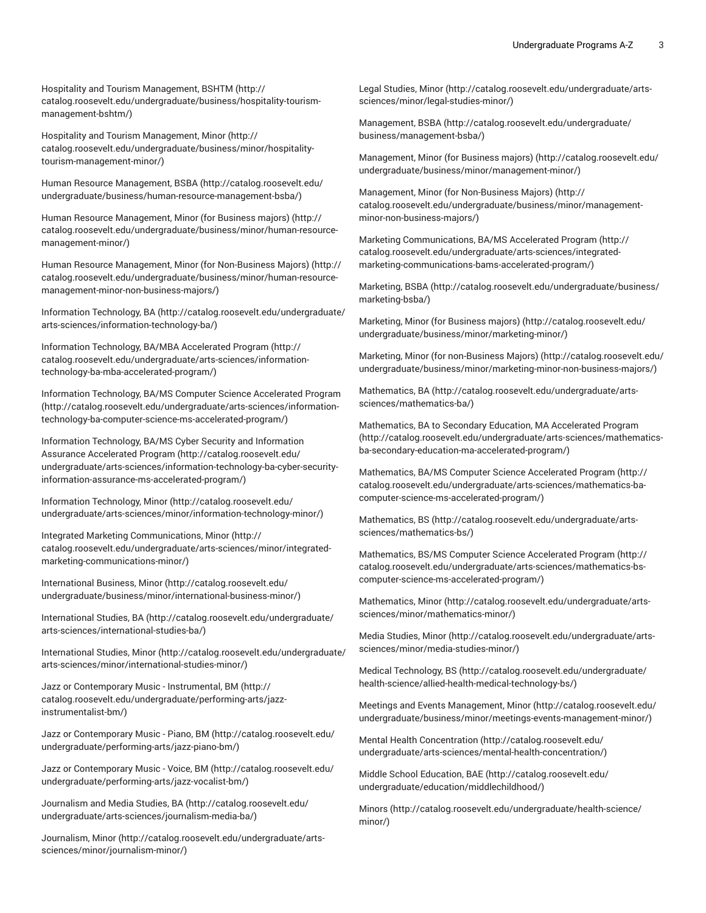Hospitality and Tourism [Management,](http://catalog.roosevelt.edu/undergraduate/business/hospitality-tourism-management-bshtm/) BSHTM ([http://](http://catalog.roosevelt.edu/undergraduate/business/hospitality-tourism-management-bshtm/) [catalog.roosevelt.edu/undergraduate/business/hospitality-tourism](http://catalog.roosevelt.edu/undergraduate/business/hospitality-tourism-management-bshtm/)[management-bshtm/](http://catalog.roosevelt.edu/undergraduate/business/hospitality-tourism-management-bshtm/))

Hospitality and Tourism [Management,](http://catalog.roosevelt.edu/undergraduate/business/minor/hospitality-tourism-management-minor/) Minor [\(http://](http://catalog.roosevelt.edu/undergraduate/business/minor/hospitality-tourism-management-minor/) [catalog.roosevelt.edu/undergraduate/business/minor/hospitality](http://catalog.roosevelt.edu/undergraduate/business/minor/hospitality-tourism-management-minor/)[tourism-management-minor/\)](http://catalog.roosevelt.edu/undergraduate/business/minor/hospitality-tourism-management-minor/)

Human Resource [Management,](http://catalog.roosevelt.edu/undergraduate/business/human-resource-management-bsba/) BSBA [\(http://catalog.roosevelt.edu/](http://catalog.roosevelt.edu/undergraduate/business/human-resource-management-bsba/) [undergraduate/business/human-resource-management-bsba/](http://catalog.roosevelt.edu/undergraduate/business/human-resource-management-bsba/))

Human Resource [Management,](http://catalog.roosevelt.edu/undergraduate/business/minor/human-resource-management-minor/) Minor (for Business majors) ([http://](http://catalog.roosevelt.edu/undergraduate/business/minor/human-resource-management-minor/) [catalog.roosevelt.edu/undergraduate/business/minor/human-resource](http://catalog.roosevelt.edu/undergraduate/business/minor/human-resource-management-minor/)[management-minor/\)](http://catalog.roosevelt.edu/undergraduate/business/minor/human-resource-management-minor/)

Human Resource Management, Minor (for [Non-Business](http://catalog.roosevelt.edu/undergraduate/business/minor/human-resource-management-minor-non-business-majors/) Majors) ([http://](http://catalog.roosevelt.edu/undergraduate/business/minor/human-resource-management-minor-non-business-majors/) [catalog.roosevelt.edu/undergraduate/business/minor/human-resource](http://catalog.roosevelt.edu/undergraduate/business/minor/human-resource-management-minor-non-business-majors/)[management-minor-non-business-majors/](http://catalog.roosevelt.edu/undergraduate/business/minor/human-resource-management-minor-non-business-majors/))

Information [Technology,](http://catalog.roosevelt.edu/undergraduate/arts-sciences/information-technology-ba/) BA [\(http://catalog.roosevelt.edu/undergraduate/](http://catalog.roosevelt.edu/undergraduate/arts-sciences/information-technology-ba/) [arts-sciences/information-technology-ba/\)](http://catalog.roosevelt.edu/undergraduate/arts-sciences/information-technology-ba/)

Information Technology, BA/MBA [Accelerated](http://catalog.roosevelt.edu/undergraduate/arts-sciences/information-technology-ba-mba-accelerated-program/) Program ([http://](http://catalog.roosevelt.edu/undergraduate/arts-sciences/information-technology-ba-mba-accelerated-program/) [catalog.roosevelt.edu/undergraduate/arts-sciences/information](http://catalog.roosevelt.edu/undergraduate/arts-sciences/information-technology-ba-mba-accelerated-program/)[technology-ba-mba-accelerated-program/](http://catalog.roosevelt.edu/undergraduate/arts-sciences/information-technology-ba-mba-accelerated-program/))

Information Technology, BA/MS Computer Science [Accelerated](http://catalog.roosevelt.edu/undergraduate/arts-sciences/information-technology-ba-computer-science-ms-accelerated-program/) Program ([http://catalog.roosevelt.edu/undergraduate/arts-sciences/information](http://catalog.roosevelt.edu/undergraduate/arts-sciences/information-technology-ba-computer-science-ms-accelerated-program/)[technology-ba-computer-science-ms-accelerated-program/](http://catalog.roosevelt.edu/undergraduate/arts-sciences/information-technology-ba-computer-science-ms-accelerated-program/))

Information [Technology,](http://catalog.roosevelt.edu/undergraduate/arts-sciences/information-technology-ba-cyber-security-information-assurance-ms-accelerated-program/) BA/MS Cyber Security and Information Assurance [Accelerated](http://catalog.roosevelt.edu/undergraduate/arts-sciences/information-technology-ba-cyber-security-information-assurance-ms-accelerated-program/) Program ([http://catalog.roosevelt.edu/](http://catalog.roosevelt.edu/undergraduate/arts-sciences/information-technology-ba-cyber-security-information-assurance-ms-accelerated-program/) [undergraduate/arts-sciences/information-technology-ba-cyber-security](http://catalog.roosevelt.edu/undergraduate/arts-sciences/information-technology-ba-cyber-security-information-assurance-ms-accelerated-program/)[information-assurance-ms-accelerated-program/\)](http://catalog.roosevelt.edu/undergraduate/arts-sciences/information-technology-ba-cyber-security-information-assurance-ms-accelerated-program/)

Information [Technology,](http://catalog.roosevelt.edu/undergraduate/arts-sciences/minor/information-technology-minor/) Minor [\(http://catalog.roosevelt.edu/](http://catalog.roosevelt.edu/undergraduate/arts-sciences/minor/information-technology-minor/) [undergraduate/arts-sciences/minor/information-technology-minor/\)](http://catalog.roosevelt.edu/undergraduate/arts-sciences/minor/information-technology-minor/)

Integrated Marketing [Communications,](http://catalog.roosevelt.edu/undergraduate/arts-sciences/minor/integrated-marketing-communications-minor/) Minor ([http://](http://catalog.roosevelt.edu/undergraduate/arts-sciences/minor/integrated-marketing-communications-minor/) [catalog.roosevelt.edu/undergraduate/arts-sciences/minor/integrated](http://catalog.roosevelt.edu/undergraduate/arts-sciences/minor/integrated-marketing-communications-minor/)[marketing-communications-minor/](http://catalog.roosevelt.edu/undergraduate/arts-sciences/minor/integrated-marketing-communications-minor/))

[International Business, Minor](http://catalog.roosevelt.edu/undergraduate/business/minor/international-business-minor/) ([http://catalog.roosevelt.edu/](http://catalog.roosevelt.edu/undergraduate/business/minor/international-business-minor/) [undergraduate/business/minor/international-business-minor/](http://catalog.roosevelt.edu/undergraduate/business/minor/international-business-minor/))

[International Studies, BA \(http://catalog.roosevelt.edu/undergraduate/](http://catalog.roosevelt.edu/undergraduate/arts-sciences/international-studies-ba/) [arts-sciences/international-studies-ba/\)](http://catalog.roosevelt.edu/undergraduate/arts-sciences/international-studies-ba/)

[International Studies, Minor](http://catalog.roosevelt.edu/undergraduate/arts-sciences/minor/international-studies-minor/) ([http://catalog.roosevelt.edu/undergraduate/](http://catalog.roosevelt.edu/undergraduate/arts-sciences/minor/international-studies-minor/) [arts-sciences/minor/international-studies-minor/](http://catalog.roosevelt.edu/undergraduate/arts-sciences/minor/international-studies-minor/))

Jazz or [Contemporary](http://catalog.roosevelt.edu/undergraduate/performing-arts/jazz-instrumentalist-bm/) Music - Instrumental, BM ([http://](http://catalog.roosevelt.edu/undergraduate/performing-arts/jazz-instrumentalist-bm/) [catalog.roosevelt.edu/undergraduate/performing-arts/jazz](http://catalog.roosevelt.edu/undergraduate/performing-arts/jazz-instrumentalist-bm/)[instrumentalist-bm/\)](http://catalog.roosevelt.edu/undergraduate/performing-arts/jazz-instrumentalist-bm/)

Jazz or [Contemporary](http://catalog.roosevelt.edu/undergraduate/performing-arts/jazz-piano-bm/) Music - Piano, BM [\(http://catalog.roosevelt.edu/](http://catalog.roosevelt.edu/undergraduate/performing-arts/jazz-piano-bm/) [undergraduate/performing-arts/jazz-piano-bm/](http://catalog.roosevelt.edu/undergraduate/performing-arts/jazz-piano-bm/))

Jazz or [Contemporary](http://catalog.roosevelt.edu/undergraduate/performing-arts/jazz-vocalist-bm/) Music - Voice, BM ([http://catalog.roosevelt.edu/](http://catalog.roosevelt.edu/undergraduate/performing-arts/jazz-vocalist-bm/) [undergraduate/performing-arts/jazz-vocalist-bm/](http://catalog.roosevelt.edu/undergraduate/performing-arts/jazz-vocalist-bm/))

[Journalism and Media Studies, BA](http://catalog.roosevelt.edu/undergraduate/arts-sciences/journalism-media-ba/) ([http://catalog.roosevelt.edu/](http://catalog.roosevelt.edu/undergraduate/arts-sciences/journalism-media-ba/) [undergraduate/arts-sciences/journalism-media-ba/](http://catalog.roosevelt.edu/undergraduate/arts-sciences/journalism-media-ba/))

[Journalism, Minor \(http://catalog.roosevelt.edu/undergraduate/arts](http://catalog.roosevelt.edu/undergraduate/arts-sciences/minor/journalism-minor/)[sciences/minor/journalism-minor/\)](http://catalog.roosevelt.edu/undergraduate/arts-sciences/minor/journalism-minor/)

[Legal Studies, Minor \(http://catalog.roosevelt.edu/undergraduate/arts](http://catalog.roosevelt.edu/undergraduate/arts-sciences/minor/legal-studies-minor/)[sciences/minor/legal-studies-minor/\)](http://catalog.roosevelt.edu/undergraduate/arts-sciences/minor/legal-studies-minor/)

[Management, BSBA](http://catalog.roosevelt.edu/undergraduate/business/management-bsba/) ([http://catalog.roosevelt.edu/undergraduate/](http://catalog.roosevelt.edu/undergraduate/business/management-bsba/) [business/management-bsba/\)](http://catalog.roosevelt.edu/undergraduate/business/management-bsba/)

[Management, Minor \(for Business majors\) \(http://catalog.roosevelt.edu/](http://catalog.roosevelt.edu/undergraduate/business/minor/management-minor/) [undergraduate/business/minor/management-minor/](http://catalog.roosevelt.edu/undergraduate/business/minor/management-minor/))

[Management, Minor \(for Non-Business Majors\) \(http://](http://catalog.roosevelt.edu/undergraduate/business/minor/management-minor-non-business-majors/) [catalog.roosevelt.edu/undergraduate/business/minor/management](http://catalog.roosevelt.edu/undergraduate/business/minor/management-minor-non-business-majors/)[minor-non-business-majors/](http://catalog.roosevelt.edu/undergraduate/business/minor/management-minor-non-business-majors/))

Marketing [Communications,](http://catalog.roosevelt.edu/undergraduate/arts-sciences/integrated-marketing-communications-bams-accelerated-program/) BA/MS Accelerated Program ([http://](http://catalog.roosevelt.edu/undergraduate/arts-sciences/integrated-marketing-communications-bams-accelerated-program/) [catalog.roosevelt.edu/undergraduate/arts-sciences/integrated](http://catalog.roosevelt.edu/undergraduate/arts-sciences/integrated-marketing-communications-bams-accelerated-program/)[marketing-communications-bams-accelerated-program/\)](http://catalog.roosevelt.edu/undergraduate/arts-sciences/integrated-marketing-communications-bams-accelerated-program/)

[Marketing,](http://catalog.roosevelt.edu/undergraduate/business/marketing-bsba/) BSBA [\(http://catalog.roosevelt.edu/undergraduate/business/](http://catalog.roosevelt.edu/undergraduate/business/marketing-bsba/) [marketing-bsba/\)](http://catalog.roosevelt.edu/undergraduate/business/marketing-bsba/)

[Marketing,](http://catalog.roosevelt.edu/undergraduate/business/minor/marketing-minor/) Minor (for Business majors) ([http://catalog.roosevelt.edu/](http://catalog.roosevelt.edu/undergraduate/business/minor/marketing-minor/) [undergraduate/business/minor/marketing-minor/\)](http://catalog.roosevelt.edu/undergraduate/business/minor/marketing-minor/)

Marketing, Minor (for [non-Business](http://catalog.roosevelt.edu/undergraduate/business/minor/marketing-minor-non-business-majors/) Majors) ([http://catalog.roosevelt.edu/](http://catalog.roosevelt.edu/undergraduate/business/minor/marketing-minor-non-business-majors/) [undergraduate/business/minor/marketing-minor-non-business-majors/](http://catalog.roosevelt.edu/undergraduate/business/minor/marketing-minor-non-business-majors/))

[Mathematics, BA \(http://catalog.roosevelt.edu/undergraduate/arts](http://catalog.roosevelt.edu/undergraduate/arts-sciences/mathematics-ba/)[sciences/mathematics-ba/](http://catalog.roosevelt.edu/undergraduate/arts-sciences/mathematics-ba/))

[Mathematics,](http://catalog.roosevelt.edu/undergraduate/arts-sciences/mathematics-ba-secondary-education-ma-accelerated-program/) BA to Secondary Education, MA Accelerated Program [\(http://catalog.roosevelt.edu/undergraduate/arts-sciences/mathematics](http://catalog.roosevelt.edu/undergraduate/arts-sciences/mathematics-ba-secondary-education-ma-accelerated-program/)[ba-secondary-education-ma-accelerated-program/\)](http://catalog.roosevelt.edu/undergraduate/arts-sciences/mathematics-ba-secondary-education-ma-accelerated-program/)

[Mathematics,](http://catalog.roosevelt.edu/undergraduate/arts-sciences/mathematics-ba-computer-science-ms-accelerated-program/) BA/MS Computer Science Accelerated Program [\(http://](http://catalog.roosevelt.edu/undergraduate/arts-sciences/mathematics-ba-computer-science-ms-accelerated-program/) [catalog.roosevelt.edu/undergraduate/arts-sciences/mathematics-ba](http://catalog.roosevelt.edu/undergraduate/arts-sciences/mathematics-ba-computer-science-ms-accelerated-program/)[computer-science-ms-accelerated-program/](http://catalog.roosevelt.edu/undergraduate/arts-sciences/mathematics-ba-computer-science-ms-accelerated-program/))

[Mathematics, BS \(http://catalog.roosevelt.edu/undergraduate/arts](http://catalog.roosevelt.edu/undergraduate/arts-sciences/mathematics-bs/)[sciences/mathematics-bs/](http://catalog.roosevelt.edu/undergraduate/arts-sciences/mathematics-bs/))

[Mathematics,](http://catalog.roosevelt.edu/undergraduate/arts-sciences/mathematics-bs-computer-science-ms-accelerated-program/) BS/MS Computer Science Accelerated Program [\(http://](http://catalog.roosevelt.edu/undergraduate/arts-sciences/mathematics-bs-computer-science-ms-accelerated-program/) [catalog.roosevelt.edu/undergraduate/arts-sciences/mathematics-bs](http://catalog.roosevelt.edu/undergraduate/arts-sciences/mathematics-bs-computer-science-ms-accelerated-program/)[computer-science-ms-accelerated-program/](http://catalog.roosevelt.edu/undergraduate/arts-sciences/mathematics-bs-computer-science-ms-accelerated-program/))

[Mathematics, Minor](http://catalog.roosevelt.edu/undergraduate/arts-sciences/minor/mathematics-minor/) ([http://catalog.roosevelt.edu/undergraduate/arts](http://catalog.roosevelt.edu/undergraduate/arts-sciences/minor/mathematics-minor/)[sciences/minor/mathematics-minor/\)](http://catalog.roosevelt.edu/undergraduate/arts-sciences/minor/mathematics-minor/)

[Media Studies, Minor](http://catalog.roosevelt.edu/undergraduate/arts-sciences/minor/media-studies-minor/) ([http://catalog.roosevelt.edu/undergraduate/arts](http://catalog.roosevelt.edu/undergraduate/arts-sciences/minor/media-studies-minor/)[sciences/minor/media-studies-minor/\)](http://catalog.roosevelt.edu/undergraduate/arts-sciences/minor/media-studies-minor/)

Medical [Technology,](http://catalog.roosevelt.edu/undergraduate/health-science/allied-health-medical-technology-bs/) BS [\(http://catalog.roosevelt.edu/undergraduate/](http://catalog.roosevelt.edu/undergraduate/health-science/allied-health-medical-technology-bs/) [health-science/allied-health-medical-technology-bs/\)](http://catalog.roosevelt.edu/undergraduate/health-science/allied-health-medical-technology-bs/)

Meetings and Events [Management,](http://catalog.roosevelt.edu/undergraduate/business/minor/meetings-events-management-minor/) Minor [\(http://catalog.roosevelt.edu/](http://catalog.roosevelt.edu/undergraduate/business/minor/meetings-events-management-minor/) [undergraduate/business/minor/meetings-events-management-minor/\)](http://catalog.roosevelt.edu/undergraduate/business/minor/meetings-events-management-minor/)

[Mental Health Concentration \(http://catalog.roosevelt.edu/](http://catalog.roosevelt.edu/undergraduate/arts-sciences/mental-health-concentration/) [undergraduate/arts-sciences/mental-health-concentration/](http://catalog.roosevelt.edu/undergraduate/arts-sciences/mental-health-concentration/))

Middle School [Education,](http://catalog.roosevelt.edu/undergraduate/education/middlechildhood/) BAE ([http://catalog.roosevelt.edu/](http://catalog.roosevelt.edu/undergraduate/education/middlechildhood/) [undergraduate/education/middlechildhood/\)](http://catalog.roosevelt.edu/undergraduate/education/middlechildhood/)

[Minors](http://catalog.roosevelt.edu/undergraduate/health-science/minor/) [\(http://catalog.roosevelt.edu/undergraduate/health-science/](http://catalog.roosevelt.edu/undergraduate/health-science/minor/) [minor/\)](http://catalog.roosevelt.edu/undergraduate/health-science/minor/)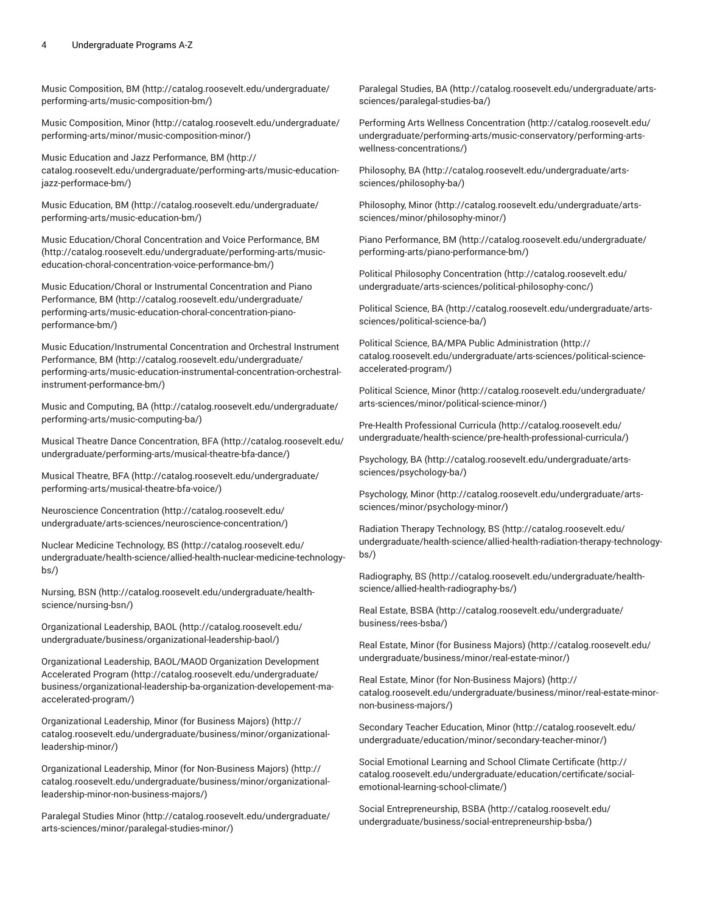#### 4 Undergraduate Programs A-Z

[Music Composition, BM](http://catalog.roosevelt.edu/undergraduate/performing-arts/music-composition-bm/) [\(http://catalog.roosevelt.edu/undergraduate/](http://catalog.roosevelt.edu/undergraduate/performing-arts/music-composition-bm/) [performing-arts/music-composition-bm/](http://catalog.roosevelt.edu/undergraduate/performing-arts/music-composition-bm/))

[Music Composition, Minor](http://catalog.roosevelt.edu/undergraduate/performing-arts/minor/music-composition-minor/) ([http://catalog.roosevelt.edu/undergraduate/](http://catalog.roosevelt.edu/undergraduate/performing-arts/minor/music-composition-minor/) [performing-arts/minor/music-composition-minor/\)](http://catalog.roosevelt.edu/undergraduate/performing-arts/minor/music-composition-minor/)

Music Education and Jazz [Performance,](http://catalog.roosevelt.edu/undergraduate/performing-arts/music-education-jazz-performace-bm/) BM [\(http://](http://catalog.roosevelt.edu/undergraduate/performing-arts/music-education-jazz-performace-bm/) [catalog.roosevelt.edu/undergraduate/performing-arts/music-education](http://catalog.roosevelt.edu/undergraduate/performing-arts/music-education-jazz-performace-bm/)[jazz-performace-bm/](http://catalog.roosevelt.edu/undergraduate/performing-arts/music-education-jazz-performace-bm/))

Music [Education,](http://catalog.roosevelt.edu/undergraduate/performing-arts/music-education-bm/) BM [\(http://catalog.roosevelt.edu/undergraduate/](http://catalog.roosevelt.edu/undergraduate/performing-arts/music-education-bm/) [performing-arts/music-education-bm/](http://catalog.roosevelt.edu/undergraduate/performing-arts/music-education-bm/))

Music [Education/Choral](http://catalog.roosevelt.edu/undergraduate/performing-arts/music-education-choral-concentration-voice-performance-bm/) Concentration and Voice Performance, BM ([http://catalog.roosevelt.edu/undergraduate/performing-arts/music](http://catalog.roosevelt.edu/undergraduate/performing-arts/music-education-choral-concentration-voice-performance-bm/)[education-choral-concentration-voice-performance-bm/](http://catalog.roosevelt.edu/undergraduate/performing-arts/music-education-choral-concentration-voice-performance-bm/))

Music [Education/Choral](http://catalog.roosevelt.edu/undergraduate/performing-arts/music-education-choral-concentration-piano-performance-bm/) or Instrumental Concentration and Piano [Performance,](http://catalog.roosevelt.edu/undergraduate/performing-arts/music-education-choral-concentration-piano-performance-bm/) BM ([http://catalog.roosevelt.edu/undergraduate/](http://catalog.roosevelt.edu/undergraduate/performing-arts/music-education-choral-concentration-piano-performance-bm/) [performing-arts/music-education-choral-concentration-piano](http://catalog.roosevelt.edu/undergraduate/performing-arts/music-education-choral-concentration-piano-performance-bm/)[performance-bm/](http://catalog.roosevelt.edu/undergraduate/performing-arts/music-education-choral-concentration-piano-performance-bm/))

Music [Education/Instrumental](http://catalog.roosevelt.edu/undergraduate/performing-arts/music-education-instrumental-concentration-orchestral-instrument-performance-bm/) Concentration and Orchestral Instrument [Performance,](http://catalog.roosevelt.edu/undergraduate/performing-arts/music-education-instrumental-concentration-orchestral-instrument-performance-bm/) BM ([http://catalog.roosevelt.edu/undergraduate/](http://catalog.roosevelt.edu/undergraduate/performing-arts/music-education-instrumental-concentration-orchestral-instrument-performance-bm/) [performing-arts/music-education-instrumental-concentration-orchestral](http://catalog.roosevelt.edu/undergraduate/performing-arts/music-education-instrumental-concentration-orchestral-instrument-performance-bm/)[instrument-performance-bm/\)](http://catalog.roosevelt.edu/undergraduate/performing-arts/music-education-instrumental-concentration-orchestral-instrument-performance-bm/)

[Music and Computing, BA \(http://catalog.roosevelt.edu/undergraduate/](http://catalog.roosevelt.edu/undergraduate/performing-arts/music-computing-ba/) [performing-arts/music-computing-ba/\)](http://catalog.roosevelt.edu/undergraduate/performing-arts/music-computing-ba/)

Musical Theatre Dance [Concentration,](http://catalog.roosevelt.edu/undergraduate/performing-arts/musical-theatre-bfa-dance/) BFA [\(http://catalog.roosevelt.edu/](http://catalog.roosevelt.edu/undergraduate/performing-arts/musical-theatre-bfa-dance/) [undergraduate/performing-arts/musical-theatre-bfa-dance/\)](http://catalog.roosevelt.edu/undergraduate/performing-arts/musical-theatre-bfa-dance/)

Musical [Theatre,](http://catalog.roosevelt.edu/undergraduate/performing-arts/musical-theatre-bfa-voice/) BFA ([http://catalog.roosevelt.edu/undergraduate/](http://catalog.roosevelt.edu/undergraduate/performing-arts/musical-theatre-bfa-voice/) [performing-arts/musical-theatre-bfa-voice/\)](http://catalog.roosevelt.edu/undergraduate/performing-arts/musical-theatre-bfa-voice/)

Neuroscience [Concentration](http://catalog.roosevelt.edu/undergraduate/arts-sciences/neuroscience-concentration/) ([http://catalog.roosevelt.edu/](http://catalog.roosevelt.edu/undergraduate/arts-sciences/neuroscience-concentration/) [undergraduate/arts-sciences/neuroscience-concentration/](http://catalog.roosevelt.edu/undergraduate/arts-sciences/neuroscience-concentration/))

Nuclear Medicine [Technology,](http://catalog.roosevelt.edu/undergraduate/health-science/allied-health-nuclear-medicine-technology-bs/) BS ([http://catalog.roosevelt.edu/](http://catalog.roosevelt.edu/undergraduate/health-science/allied-health-nuclear-medicine-technology-bs/) [undergraduate/health-science/allied-health-nuclear-medicine-technology](http://catalog.roosevelt.edu/undergraduate/health-science/allied-health-nuclear-medicine-technology-bs/)[bs/](http://catalog.roosevelt.edu/undergraduate/health-science/allied-health-nuclear-medicine-technology-bs/))

[Nursing, BSN \(http://catalog.roosevelt.edu/undergraduate/health](http://catalog.roosevelt.edu/undergraduate/health-science/nursing-bsn/)[science/nursing-bsn/\)](http://catalog.roosevelt.edu/undergraduate/health-science/nursing-bsn/)

[Organizational](http://catalog.roosevelt.edu/undergraduate/business/organizational-leadership-baol/) Leadership, BAOL [\(http://catalog.roosevelt.edu/](http://catalog.roosevelt.edu/undergraduate/business/organizational-leadership-baol/) [undergraduate/business/organizational-leadership-baol/\)](http://catalog.roosevelt.edu/undergraduate/business/organizational-leadership-baol/)

[Organizational](http://catalog.roosevelt.edu/undergraduate/business/organizational-leadership-ba-organization-developement-ma-accelerated-program/) Leadership, BAOL/MAOD Organization Development [Accelerated](http://catalog.roosevelt.edu/undergraduate/business/organizational-leadership-ba-organization-developement-ma-accelerated-program/) Program [\(http://catalog.roosevelt.edu/undergraduate/](http://catalog.roosevelt.edu/undergraduate/business/organizational-leadership-ba-organization-developement-ma-accelerated-program/) [business/organizational-leadership-ba-organization-developement-ma](http://catalog.roosevelt.edu/undergraduate/business/organizational-leadership-ba-organization-developement-ma-accelerated-program/)[accelerated-program/\)](http://catalog.roosevelt.edu/undergraduate/business/organizational-leadership-ba-organization-developement-ma-accelerated-program/)

[Organizational](http://catalog.roosevelt.edu/undergraduate/business/minor/organizational-leadership-minor/) Leadership, Minor (for Business Majors) [\(http://](http://catalog.roosevelt.edu/undergraduate/business/minor/organizational-leadership-minor/) [catalog.roosevelt.edu/undergraduate/business/minor/organizational](http://catalog.roosevelt.edu/undergraduate/business/minor/organizational-leadership-minor/)[leadership-minor/\)](http://catalog.roosevelt.edu/undergraduate/business/minor/organizational-leadership-minor/)

[Organizational](http://catalog.roosevelt.edu/undergraduate/business/minor/organizational-leadership-minor-non-business-majors/) Leadership, Minor (for Non-Business Majors) [\(http://](http://catalog.roosevelt.edu/undergraduate/business/minor/organizational-leadership-minor-non-business-majors/) [catalog.roosevelt.edu/undergraduate/business/minor/organizational](http://catalog.roosevelt.edu/undergraduate/business/minor/organizational-leadership-minor-non-business-majors/)[leadership-minor-non-business-majors/](http://catalog.roosevelt.edu/undergraduate/business/minor/organizational-leadership-minor-non-business-majors/))

[Paralegal](http://catalog.roosevelt.edu/undergraduate/arts-sciences/minor/paralegal-studies-minor/) Studies Minor [\(http://catalog.roosevelt.edu/undergraduate/](http://catalog.roosevelt.edu/undergraduate/arts-sciences/minor/paralegal-studies-minor/) [arts-sciences/minor/paralegal-studies-minor/\)](http://catalog.roosevelt.edu/undergraduate/arts-sciences/minor/paralegal-studies-minor/)

[Paralegal](http://catalog.roosevelt.edu/undergraduate/arts-sciences/paralegal-studies-ba/) Studies, BA ([http://catalog.roosevelt.edu/undergraduate/arts](http://catalog.roosevelt.edu/undergraduate/arts-sciences/paralegal-studies-ba/)[sciences/paralegal-studies-ba/\)](http://catalog.roosevelt.edu/undergraduate/arts-sciences/paralegal-studies-ba/)

Performing Arts Wellness [Concentration \(http://catalog.roosevelt.edu/](http://catalog.roosevelt.edu/undergraduate/performing-arts/music-conservatory/performing-arts-wellness-concentrations/) [undergraduate/performing-arts/music-conservatory/performing-arts](http://catalog.roosevelt.edu/undergraduate/performing-arts/music-conservatory/performing-arts-wellness-concentrations/)[wellness-concentrations/\)](http://catalog.roosevelt.edu/undergraduate/performing-arts/music-conservatory/performing-arts-wellness-concentrations/)

[Philosophy,](http://catalog.roosevelt.edu/undergraduate/arts-sciences/philosophy-ba/) BA [\(http://catalog.roosevelt.edu/undergraduate/arts](http://catalog.roosevelt.edu/undergraduate/arts-sciences/philosophy-ba/)[sciences/philosophy-ba/](http://catalog.roosevelt.edu/undergraduate/arts-sciences/philosophy-ba/))

[Philosophy,](http://catalog.roosevelt.edu/undergraduate/arts-sciences/minor/philosophy-minor/) Minor ([http://catalog.roosevelt.edu/undergraduate/arts](http://catalog.roosevelt.edu/undergraduate/arts-sciences/minor/philosophy-minor/)[sciences/minor/philosophy-minor/](http://catalog.roosevelt.edu/undergraduate/arts-sciences/minor/philosophy-minor/))

Piano [Performance,](http://catalog.roosevelt.edu/undergraduate/performing-arts/piano-performance-bm/) BM ([http://catalog.roosevelt.edu/undergraduate/](http://catalog.roosevelt.edu/undergraduate/performing-arts/piano-performance-bm/) [performing-arts/piano-performance-bm/\)](http://catalog.roosevelt.edu/undergraduate/performing-arts/piano-performance-bm/)

Political Philosophy [Concentration](http://catalog.roosevelt.edu/undergraduate/arts-sciences/political-philosophy-conc/) ([http://catalog.roosevelt.edu/](http://catalog.roosevelt.edu/undergraduate/arts-sciences/political-philosophy-conc/) [undergraduate/arts-sciences/political-philosophy-conc/](http://catalog.roosevelt.edu/undergraduate/arts-sciences/political-philosophy-conc/))

Political [Science,](http://catalog.roosevelt.edu/undergraduate/arts-sciences/political-science-ba/) BA [\(http://catalog.roosevelt.edu/undergraduate/arts](http://catalog.roosevelt.edu/undergraduate/arts-sciences/political-science-ba/)[sciences/political-science-ba/](http://catalog.roosevelt.edu/undergraduate/arts-sciences/political-science-ba/))

Political Science, BA/MPA Public [Administration](http://catalog.roosevelt.edu/undergraduate/arts-sciences/political-science-accelerated-program/) ([http://](http://catalog.roosevelt.edu/undergraduate/arts-sciences/political-science-accelerated-program/) [catalog.roosevelt.edu/undergraduate/arts-sciences/political-science](http://catalog.roosevelt.edu/undergraduate/arts-sciences/political-science-accelerated-program/)[accelerated-program/](http://catalog.roosevelt.edu/undergraduate/arts-sciences/political-science-accelerated-program/))

Political [Science,](http://catalog.roosevelt.edu/undergraduate/arts-sciences/minor/political-science-minor/) Minor ([http://catalog.roosevelt.edu/undergraduate/](http://catalog.roosevelt.edu/undergraduate/arts-sciences/minor/political-science-minor/) [arts-sciences/minor/political-science-minor/\)](http://catalog.roosevelt.edu/undergraduate/arts-sciences/minor/political-science-minor/)

Pre-Health [Professional](http://catalog.roosevelt.edu/undergraduate/health-science/pre-health-professional-curricula/) Curricula [\(http://catalog.roosevelt.edu/](http://catalog.roosevelt.edu/undergraduate/health-science/pre-health-professional-curricula/) [undergraduate/health-science/pre-health-professional-curricula/\)](http://catalog.roosevelt.edu/undergraduate/health-science/pre-health-professional-curricula/)

[Psychology,](http://catalog.roosevelt.edu/undergraduate/arts-sciences/psychology-ba/) BA ([http://catalog.roosevelt.edu/undergraduate/arts](http://catalog.roosevelt.edu/undergraduate/arts-sciences/psychology-ba/)[sciences/psychology-ba/](http://catalog.roosevelt.edu/undergraduate/arts-sciences/psychology-ba/))

[Psychology,](http://catalog.roosevelt.edu/undergraduate/arts-sciences/minor/psychology-minor/) Minor ([http://catalog.roosevelt.edu/undergraduate/arts](http://catalog.roosevelt.edu/undergraduate/arts-sciences/minor/psychology-minor/)[sciences/minor/psychology-minor/](http://catalog.roosevelt.edu/undergraduate/arts-sciences/minor/psychology-minor/))

Radiation Therapy [Technology,](http://catalog.roosevelt.edu/undergraduate/health-science/allied-health-radiation-therapy-technology-bs/) BS [\(http://catalog.roosevelt.edu/](http://catalog.roosevelt.edu/undergraduate/health-science/allied-health-radiation-therapy-technology-bs/) [undergraduate/health-science/allied-health-radiation-therapy-technology](http://catalog.roosevelt.edu/undergraduate/health-science/allied-health-radiation-therapy-technology-bs/)[bs/](http://catalog.roosevelt.edu/undergraduate/health-science/allied-health-radiation-therapy-technology-bs/))

[Radiography,](http://catalog.roosevelt.edu/undergraduate/health-science/allied-health-radiography-bs/) BS ([http://catalog.roosevelt.edu/undergraduate/health](http://catalog.roosevelt.edu/undergraduate/health-science/allied-health-radiography-bs/)[science/allied-health-radiography-bs/\)](http://catalog.roosevelt.edu/undergraduate/health-science/allied-health-radiography-bs/)

[Real Estate, BSBA](http://catalog.roosevelt.edu/undergraduate/business/rees-bsba/) ([http://catalog.roosevelt.edu/undergraduate/](http://catalog.roosevelt.edu/undergraduate/business/rees-bsba/) [business/rees-bsba/\)](http://catalog.roosevelt.edu/undergraduate/business/rees-bsba/)

[Real Estate, Minor \(for Business Majors\)](http://catalog.roosevelt.edu/undergraduate/business/minor/real-estate-minor/) ([http://catalog.roosevelt.edu/](http://catalog.roosevelt.edu/undergraduate/business/minor/real-estate-minor/) [undergraduate/business/minor/real-estate-minor/\)](http://catalog.roosevelt.edu/undergraduate/business/minor/real-estate-minor/)

[Real Estate, Minor \(for Non-Business Majors\)](http://catalog.roosevelt.edu/undergraduate/business/minor/real-estate-minor-non-business-majors/) ([http://](http://catalog.roosevelt.edu/undergraduate/business/minor/real-estate-minor-non-business-majors/) [catalog.roosevelt.edu/undergraduate/business/minor/real-estate-minor](http://catalog.roosevelt.edu/undergraduate/business/minor/real-estate-minor-non-business-majors/)[non-business-majors/](http://catalog.roosevelt.edu/undergraduate/business/minor/real-estate-minor-non-business-majors/))

[Secondary](http://catalog.roosevelt.edu/undergraduate/education/minor/secondary-teacher-minor/) Teacher Education, Minor ([http://catalog.roosevelt.edu/](http://catalog.roosevelt.edu/undergraduate/education/minor/secondary-teacher-minor/) [undergraduate/education/minor/secondary-teacher-minor/\)](http://catalog.roosevelt.edu/undergraduate/education/minor/secondary-teacher-minor/)

Social Emotional Learning and School Climate [Certificate](http://catalog.roosevelt.edu/undergraduate/education/certificate/social-emotional-learning-school-climate/) ([http://](http://catalog.roosevelt.edu/undergraduate/education/certificate/social-emotional-learning-school-climate/) [catalog.roosevelt.edu/undergraduate/education/certificate/social](http://catalog.roosevelt.edu/undergraduate/education/certificate/social-emotional-learning-school-climate/)[emotional-learning-school-climate/\)](http://catalog.roosevelt.edu/undergraduate/education/certificate/social-emotional-learning-school-climate/)

Social [Entrepreneurship,](http://catalog.roosevelt.edu/undergraduate/business/social-entrepreneurship-bsba/) BSBA ([http://catalog.roosevelt.edu/](http://catalog.roosevelt.edu/undergraduate/business/social-entrepreneurship-bsba/) [undergraduate/business/social-entrepreneurship-bsba/\)](http://catalog.roosevelt.edu/undergraduate/business/social-entrepreneurship-bsba/)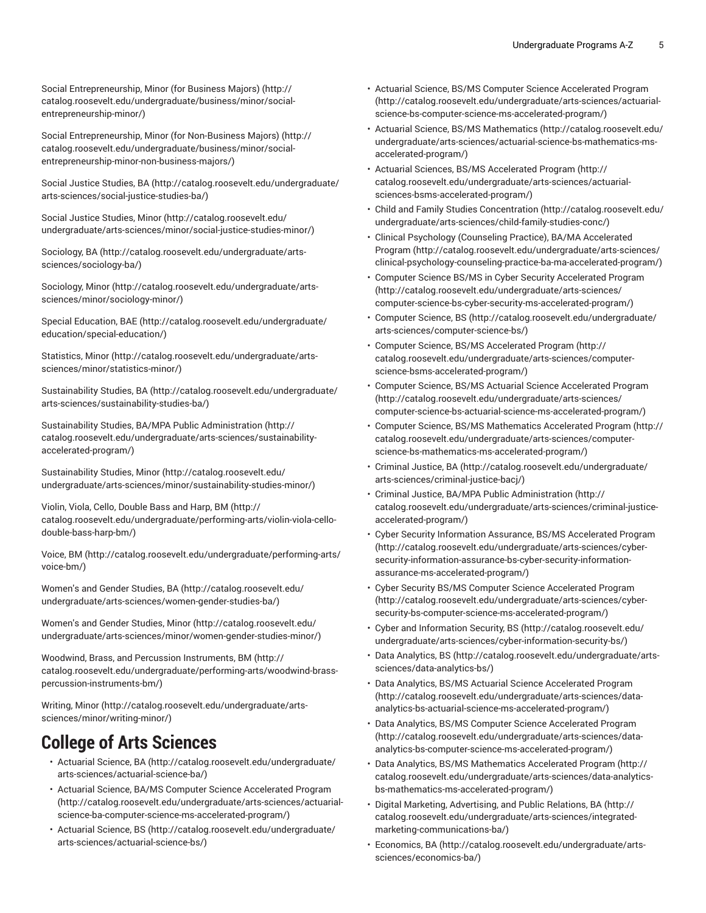Social [Entrepreneurship,](http://catalog.roosevelt.edu/undergraduate/business/minor/social-entrepreneurship-minor/) Minor (for Business Majors) [\(http://](http://catalog.roosevelt.edu/undergraduate/business/minor/social-entrepreneurship-minor/) [catalog.roosevelt.edu/undergraduate/business/minor/social](http://catalog.roosevelt.edu/undergraduate/business/minor/social-entrepreneurship-minor/)[entrepreneurship-minor/](http://catalog.roosevelt.edu/undergraduate/business/minor/social-entrepreneurship-minor/))

Social [Entrepreneurship,](http://catalog.roosevelt.edu/undergraduate/business/minor/social-entrepreneurship-minor-non-business-majors/) Minor (for Non-Business Majors) [\(http://](http://catalog.roosevelt.edu/undergraduate/business/minor/social-entrepreneurship-minor-non-business-majors/) [catalog.roosevelt.edu/undergraduate/business/minor/social](http://catalog.roosevelt.edu/undergraduate/business/minor/social-entrepreneurship-minor-non-business-majors/)[entrepreneurship-minor-non-business-majors/\)](http://catalog.roosevelt.edu/undergraduate/business/minor/social-entrepreneurship-minor-non-business-majors/)

[Social Justice Studies, BA \(http://catalog.roosevelt.edu/undergraduate/](http://catalog.roosevelt.edu/undergraduate/arts-sciences/social-justice-studies-ba/) [arts-sciences/social-justice-studies-ba/](http://catalog.roosevelt.edu/undergraduate/arts-sciences/social-justice-studies-ba/))

[Social Justice Studies, Minor](http://catalog.roosevelt.edu/undergraduate/arts-sciences/minor/social-justice-studies-minor/) ([http://catalog.roosevelt.edu/](http://catalog.roosevelt.edu/undergraduate/arts-sciences/minor/social-justice-studies-minor/) [undergraduate/arts-sciences/minor/social-justice-studies-minor/](http://catalog.roosevelt.edu/undergraduate/arts-sciences/minor/social-justice-studies-minor/))

[Sociology,](http://catalog.roosevelt.edu/undergraduate/arts-sciences/sociology-ba/) BA [\(http://catalog.roosevelt.edu/undergraduate/arts](http://catalog.roosevelt.edu/undergraduate/arts-sciences/sociology-ba/)[sciences/sociology-ba/](http://catalog.roosevelt.edu/undergraduate/arts-sciences/sociology-ba/))

[Sociology,](http://catalog.roosevelt.edu/undergraduate/arts-sciences/minor/sociology-minor/) Minor ([http://catalog.roosevelt.edu/undergraduate/arts](http://catalog.roosevelt.edu/undergraduate/arts-sciences/minor/sociology-minor/)[sciences/minor/sociology-minor/](http://catalog.roosevelt.edu/undergraduate/arts-sciences/minor/sociology-minor/))

Special [Education,](http://catalog.roosevelt.edu/undergraduate/education/special-education/) BAE ([http://catalog.roosevelt.edu/undergraduate/](http://catalog.roosevelt.edu/undergraduate/education/special-education/) [education/special-education/](http://catalog.roosevelt.edu/undergraduate/education/special-education/))

[Statistics, Minor \(http://catalog.roosevelt.edu/undergraduate/arts](http://catalog.roosevelt.edu/undergraduate/arts-sciences/minor/statistics-minor/)[sciences/minor/statistics-minor/](http://catalog.roosevelt.edu/undergraduate/arts-sciences/minor/statistics-minor/))

[Sustainability Studies, BA](http://catalog.roosevelt.edu/undergraduate/arts-sciences/sustainability-studies-ba/) ([http://catalog.roosevelt.edu/undergraduate/](http://catalog.roosevelt.edu/undergraduate/arts-sciences/sustainability-studies-ba/) [arts-sciences/sustainability-studies-ba/\)](http://catalog.roosevelt.edu/undergraduate/arts-sciences/sustainability-studies-ba/)

Sustainability Studies, BA/MPA Public [Administration \(http://](http://catalog.roosevelt.edu/undergraduate/arts-sciences/sustainability-accelerated-program/) [catalog.roosevelt.edu/undergraduate/arts-sciences/sustainability](http://catalog.roosevelt.edu/undergraduate/arts-sciences/sustainability-accelerated-program/)[accelerated-program/\)](http://catalog.roosevelt.edu/undergraduate/arts-sciences/sustainability-accelerated-program/)

[Sustainability Studies, Minor \(http://catalog.roosevelt.edu/](http://catalog.roosevelt.edu/undergraduate/arts-sciences/minor/sustainability-studies-minor/) [undergraduate/arts-sciences/minor/sustainability-studies-minor/\)](http://catalog.roosevelt.edu/undergraduate/arts-sciences/minor/sustainability-studies-minor/)

[Violin, Viola, Cello, Double Bass and Harp, BM](http://catalog.roosevelt.edu/undergraduate/performing-arts/violin-viola-cello-double-bass-harp-bm/) ([http://](http://catalog.roosevelt.edu/undergraduate/performing-arts/violin-viola-cello-double-bass-harp-bm/) [catalog.roosevelt.edu/undergraduate/performing-arts/violin-viola-cello](http://catalog.roosevelt.edu/undergraduate/performing-arts/violin-viola-cello-double-bass-harp-bm/)[double-bass-harp-bm/](http://catalog.roosevelt.edu/undergraduate/performing-arts/violin-viola-cello-double-bass-harp-bm/))

[Voice,](http://catalog.roosevelt.edu/undergraduate/performing-arts/voice-bm/) BM [\(http://catalog.roosevelt.edu/undergraduate/performing-arts/](http://catalog.roosevelt.edu/undergraduate/performing-arts/voice-bm/) [voice-bm/](http://catalog.roosevelt.edu/undergraduate/performing-arts/voice-bm/))

[Women's](http://catalog.roosevelt.edu/undergraduate/arts-sciences/women-gender-studies-ba/) and Gender Studies, BA ([http://catalog.roosevelt.edu/](http://catalog.roosevelt.edu/undergraduate/arts-sciences/women-gender-studies-ba/) [undergraduate/arts-sciences/women-gender-studies-ba/\)](http://catalog.roosevelt.edu/undergraduate/arts-sciences/women-gender-studies-ba/)

[Women's](http://catalog.roosevelt.edu/undergraduate/arts-sciences/minor/women-gender-studies-minor/) and Gender Studies, Minor [\(http://catalog.roosevelt.edu/](http://catalog.roosevelt.edu/undergraduate/arts-sciences/minor/women-gender-studies-minor/) [undergraduate/arts-sciences/minor/women-gender-studies-minor/\)](http://catalog.roosevelt.edu/undergraduate/arts-sciences/minor/women-gender-studies-minor/)

Woodwind, Brass, and Percussion [Instruments,](http://catalog.roosevelt.edu/undergraduate/performing-arts/woodwind-brass-percussion-instruments-bm/) BM [\(http://](http://catalog.roosevelt.edu/undergraduate/performing-arts/woodwind-brass-percussion-instruments-bm/) [catalog.roosevelt.edu/undergraduate/performing-arts/woodwind-brass](http://catalog.roosevelt.edu/undergraduate/performing-arts/woodwind-brass-percussion-instruments-bm/)[percussion-instruments-bm/](http://catalog.roosevelt.edu/undergraduate/performing-arts/woodwind-brass-percussion-instruments-bm/))

[Writing,](http://catalog.roosevelt.edu/undergraduate/arts-sciences/minor/writing-minor/) Minor ([http://catalog.roosevelt.edu/undergraduate/arts](http://catalog.roosevelt.edu/undergraduate/arts-sciences/minor/writing-minor/)[sciences/minor/writing-minor/](http://catalog.roosevelt.edu/undergraduate/arts-sciences/minor/writing-minor/))

#### **College of Arts Sciences**

- [Actuarial Science, BA \(http://catalog.roosevelt.edu/undergraduate/](http://catalog.roosevelt.edu/undergraduate/arts-sciences/actuarial-science-ba/) [arts-sciences/actuarial-science-ba/](http://catalog.roosevelt.edu/undergraduate/arts-sciences/actuarial-science-ba/))
- Actuarial Science, BA/MS Computer Science [Accelerated](http://catalog.roosevelt.edu/undergraduate/arts-sciences/actuarial-science-ba-computer-science-ms-accelerated-program/) Program ([http://catalog.roosevelt.edu/undergraduate/arts-sciences/actuarial](http://catalog.roosevelt.edu/undergraduate/arts-sciences/actuarial-science-ba-computer-science-ms-accelerated-program/)[science-ba-computer-science-ms-accelerated-program/\)](http://catalog.roosevelt.edu/undergraduate/arts-sciences/actuarial-science-ba-computer-science-ms-accelerated-program/)
- [Actuarial Science, BS](http://catalog.roosevelt.edu/undergraduate/arts-sciences/actuarial-science-bs/) ([http://catalog.roosevelt.edu/undergraduate/](http://catalog.roosevelt.edu/undergraduate/arts-sciences/actuarial-science-bs/) [arts-sciences/actuarial-science-bs/](http://catalog.roosevelt.edu/undergraduate/arts-sciences/actuarial-science-bs/))
- Actuarial Science, BS/MS Computer Science [Accelerated](http://catalog.roosevelt.edu/undergraduate/arts-sciences/actuarial-science-bs-computer-science-ms-accelerated-program/) Program [\(http://catalog.roosevelt.edu/undergraduate/arts-sciences/actuarial](http://catalog.roosevelt.edu/undergraduate/arts-sciences/actuarial-science-bs-computer-science-ms-accelerated-program/)[science-bs-computer-science-ms-accelerated-program/](http://catalog.roosevelt.edu/undergraduate/arts-sciences/actuarial-science-bs-computer-science-ms-accelerated-program/))
- [Actuarial Science, BS/MS Mathematics \(http://catalog.roosevelt.edu/](http://catalog.roosevelt.edu/undergraduate/arts-sciences/actuarial-science-bs-mathematics-ms-accelerated-program/) [undergraduate/arts-sciences/actuarial-science-bs-mathematics-ms](http://catalog.roosevelt.edu/undergraduate/arts-sciences/actuarial-science-bs-mathematics-ms-accelerated-program/)[accelerated-program/](http://catalog.roosevelt.edu/undergraduate/arts-sciences/actuarial-science-bs-mathematics-ms-accelerated-program/))
- Actuarial Sciences, BS/MS [Accelerated](http://catalog.roosevelt.edu/undergraduate/arts-sciences/actuarial-sciences-bsms-accelerated-program/) Program ([http://](http://catalog.roosevelt.edu/undergraduate/arts-sciences/actuarial-sciences-bsms-accelerated-program/) [catalog.roosevelt.edu/undergraduate/arts-sciences/actuarial](http://catalog.roosevelt.edu/undergraduate/arts-sciences/actuarial-sciences-bsms-accelerated-program/)[sciences-bsms-accelerated-program/](http://catalog.roosevelt.edu/undergraduate/arts-sciences/actuarial-sciences-bsms-accelerated-program/))
- Child and Family Studies [Concentration](http://catalog.roosevelt.edu/undergraduate/arts-sciences/child-family-studies-conc/) ([http://catalog.roosevelt.edu/](http://catalog.roosevelt.edu/undergraduate/arts-sciences/child-family-studies-conc/) [undergraduate/arts-sciences/child-family-studies-conc/](http://catalog.roosevelt.edu/undergraduate/arts-sciences/child-family-studies-conc/))
- Clinical Psychology [\(Counseling](http://catalog.roosevelt.edu/undergraduate/arts-sciences/clinical-psychology-counseling-practice-ba-ma-accelerated-program/) Practice), BA/MA Accelerated [Program](http://catalog.roosevelt.edu/undergraduate/arts-sciences/clinical-psychology-counseling-practice-ba-ma-accelerated-program/) [\(http://catalog.roosevelt.edu/undergraduate/arts-sciences/](http://catalog.roosevelt.edu/undergraduate/arts-sciences/clinical-psychology-counseling-practice-ba-ma-accelerated-program/) [clinical-psychology-counseling-practice-ba-ma-accelerated-program/\)](http://catalog.roosevelt.edu/undergraduate/arts-sciences/clinical-psychology-counseling-practice-ba-ma-accelerated-program/)
- Computer Science BS/MS in Cyber Security [Accelerated](http://catalog.roosevelt.edu/undergraduate/arts-sciences/computer-science-bs-cyber-security-ms-accelerated-program/) Program [\(http://catalog.roosevelt.edu/undergraduate/arts-sciences/](http://catalog.roosevelt.edu/undergraduate/arts-sciences/computer-science-bs-cyber-security-ms-accelerated-program/) [computer-science-bs-cyber-security-ms-accelerated-program/](http://catalog.roosevelt.edu/undergraduate/arts-sciences/computer-science-bs-cyber-security-ms-accelerated-program/))
- [Computer Science, BS](http://catalog.roosevelt.edu/undergraduate/arts-sciences/computer-science-bs/) ([http://catalog.roosevelt.edu/undergraduate/](http://catalog.roosevelt.edu/undergraduate/arts-sciences/computer-science-bs/) [arts-sciences/computer-science-bs/\)](http://catalog.roosevelt.edu/undergraduate/arts-sciences/computer-science-bs/)
- Computer Science, BS/MS [Accelerated](http://catalog.roosevelt.edu/undergraduate/arts-sciences/computer-science-bsms-accelerated-program/) Program ([http://](http://catalog.roosevelt.edu/undergraduate/arts-sciences/computer-science-bsms-accelerated-program/) [catalog.roosevelt.edu/undergraduate/arts-sciences/computer](http://catalog.roosevelt.edu/undergraduate/arts-sciences/computer-science-bsms-accelerated-program/)[science-bsms-accelerated-program/](http://catalog.roosevelt.edu/undergraduate/arts-sciences/computer-science-bsms-accelerated-program/))
- Computer Science, BS/MS Actuarial Science [Accelerated](http://catalog.roosevelt.edu/undergraduate/arts-sciences/computer-science-bs-actuarial-science-ms-accelerated-program/) Program [\(http://catalog.roosevelt.edu/undergraduate/arts-sciences/](http://catalog.roosevelt.edu/undergraduate/arts-sciences/computer-science-bs-actuarial-science-ms-accelerated-program/) [computer-science-bs-actuarial-science-ms-accelerated-program/\)](http://catalog.roosevelt.edu/undergraduate/arts-sciences/computer-science-bs-actuarial-science-ms-accelerated-program/)
- Computer Science, BS/MS [Mathematics](http://catalog.roosevelt.edu/undergraduate/arts-sciences/computer-science-bs-mathematics-ms-accelerated-program/) Accelerated Program [\(http://](http://catalog.roosevelt.edu/undergraduate/arts-sciences/computer-science-bs-mathematics-ms-accelerated-program/) [catalog.roosevelt.edu/undergraduate/arts-sciences/computer](http://catalog.roosevelt.edu/undergraduate/arts-sciences/computer-science-bs-mathematics-ms-accelerated-program/)[science-bs-mathematics-ms-accelerated-program/](http://catalog.roosevelt.edu/undergraduate/arts-sciences/computer-science-bs-mathematics-ms-accelerated-program/))
- [Criminal Justice, BA](http://catalog.roosevelt.edu/undergraduate/arts-sciences/criminal-justice-bacj/) ([http://catalog.roosevelt.edu/undergraduate/](http://catalog.roosevelt.edu/undergraduate/arts-sciences/criminal-justice-bacj/) [arts-sciences/criminal-justice-bacj/\)](http://catalog.roosevelt.edu/undergraduate/arts-sciences/criminal-justice-bacj/)
- Criminal Justice, BA/MPA Public [Administration](http://catalog.roosevelt.edu/undergraduate/arts-sciences/criminal-justice-accelerated-program/) ([http://](http://catalog.roosevelt.edu/undergraduate/arts-sciences/criminal-justice-accelerated-program/) [catalog.roosevelt.edu/undergraduate/arts-sciences/criminal-justice](http://catalog.roosevelt.edu/undergraduate/arts-sciences/criminal-justice-accelerated-program/)[accelerated-program/](http://catalog.roosevelt.edu/undergraduate/arts-sciences/criminal-justice-accelerated-program/))
- Cyber Security Information Assurance, BS/MS [Accelerated](http://catalog.roosevelt.edu/undergraduate/arts-sciences/cyber-security-information-assurance-bs-cyber-security-information-assurance-ms-accelerated-program/) Program [\(http://catalog.roosevelt.edu/undergraduate/arts-sciences/cyber](http://catalog.roosevelt.edu/undergraduate/arts-sciences/cyber-security-information-assurance-bs-cyber-security-information-assurance-ms-accelerated-program/)[security-information-assurance-bs-cyber-security-information](http://catalog.roosevelt.edu/undergraduate/arts-sciences/cyber-security-information-assurance-bs-cyber-security-information-assurance-ms-accelerated-program/)[assurance-ms-accelerated-program/](http://catalog.roosevelt.edu/undergraduate/arts-sciences/cyber-security-information-assurance-bs-cyber-security-information-assurance-ms-accelerated-program/))
- Cyber Security BS/MS Computer Science [Accelerated](http://catalog.roosevelt.edu/undergraduate/arts-sciences/cyber-security-bs-computer-science-ms-accelerated-program/) Program [\(http://catalog.roosevelt.edu/undergraduate/arts-sciences/cyber](http://catalog.roosevelt.edu/undergraduate/arts-sciences/cyber-security-bs-computer-science-ms-accelerated-program/)[security-bs-computer-science-ms-accelerated-program/](http://catalog.roosevelt.edu/undergraduate/arts-sciences/cyber-security-bs-computer-science-ms-accelerated-program/))
- Cyber and [Information](http://catalog.roosevelt.edu/undergraduate/arts-sciences/cyber-information-security-bs/) Security, BS ([http://catalog.roosevelt.edu/](http://catalog.roosevelt.edu/undergraduate/arts-sciences/cyber-information-security-bs/) [undergraduate/arts-sciences/cyber-information-security-bs/\)](http://catalog.roosevelt.edu/undergraduate/arts-sciences/cyber-information-security-bs/)
- [Data Analytics, BS](http://catalog.roosevelt.edu/undergraduate/arts-sciences/data-analytics-bs/) ([http://catalog.roosevelt.edu/undergraduate/arts](http://catalog.roosevelt.edu/undergraduate/arts-sciences/data-analytics-bs/)[sciences/data-analytics-bs/\)](http://catalog.roosevelt.edu/undergraduate/arts-sciences/data-analytics-bs/)
- Data Analytics, BS/MS Actuarial Science [Accelerated](http://catalog.roosevelt.edu/undergraduate/arts-sciences/data-analytics-bs-actuarial-science-ms-accelerated-program/) Program [\(http://catalog.roosevelt.edu/undergraduate/arts-sciences/data](http://catalog.roosevelt.edu/undergraduate/arts-sciences/data-analytics-bs-actuarial-science-ms-accelerated-program/)[analytics-bs-actuarial-science-ms-accelerated-program/\)](http://catalog.roosevelt.edu/undergraduate/arts-sciences/data-analytics-bs-actuarial-science-ms-accelerated-program/)
- Data Analytics, BS/MS Computer Science [Accelerated](http://catalog.roosevelt.edu/undergraduate/arts-sciences/data-analytics-bs-computer-science-ms-accelerated-program/) Program [\(http://catalog.roosevelt.edu/undergraduate/arts-sciences/data](http://catalog.roosevelt.edu/undergraduate/arts-sciences/data-analytics-bs-computer-science-ms-accelerated-program/)[analytics-bs-computer-science-ms-accelerated-program/\)](http://catalog.roosevelt.edu/undergraduate/arts-sciences/data-analytics-bs-computer-science-ms-accelerated-program/)
- Data Analytics, BS/MS [Mathematics](http://catalog.roosevelt.edu/undergraduate/arts-sciences/data-analytics-bs-mathematics-ms-accelerated-program/) Accelerated Program [\(http://](http://catalog.roosevelt.edu/undergraduate/arts-sciences/data-analytics-bs-mathematics-ms-accelerated-program/) [catalog.roosevelt.edu/undergraduate/arts-sciences/data-analytics](http://catalog.roosevelt.edu/undergraduate/arts-sciences/data-analytics-bs-mathematics-ms-accelerated-program/)[bs-mathematics-ms-accelerated-program/](http://catalog.roosevelt.edu/undergraduate/arts-sciences/data-analytics-bs-mathematics-ms-accelerated-program/))
- Digital Marketing, [Advertising,](http://catalog.roosevelt.edu/undergraduate/arts-sciences/integrated-marketing-communications-ba/) and Public Relations, BA ([http://](http://catalog.roosevelt.edu/undergraduate/arts-sciences/integrated-marketing-communications-ba/) [catalog.roosevelt.edu/undergraduate/arts-sciences/integrated](http://catalog.roosevelt.edu/undergraduate/arts-sciences/integrated-marketing-communications-ba/)[marketing-communications-ba/\)](http://catalog.roosevelt.edu/undergraduate/arts-sciences/integrated-marketing-communications-ba/)
- [Economics,](http://catalog.roosevelt.edu/undergraduate/arts-sciences/economics-ba/) BA ([http://catalog.roosevelt.edu/undergraduate/arts](http://catalog.roosevelt.edu/undergraduate/arts-sciences/economics-ba/)[sciences/economics-ba/\)](http://catalog.roosevelt.edu/undergraduate/arts-sciences/economics-ba/)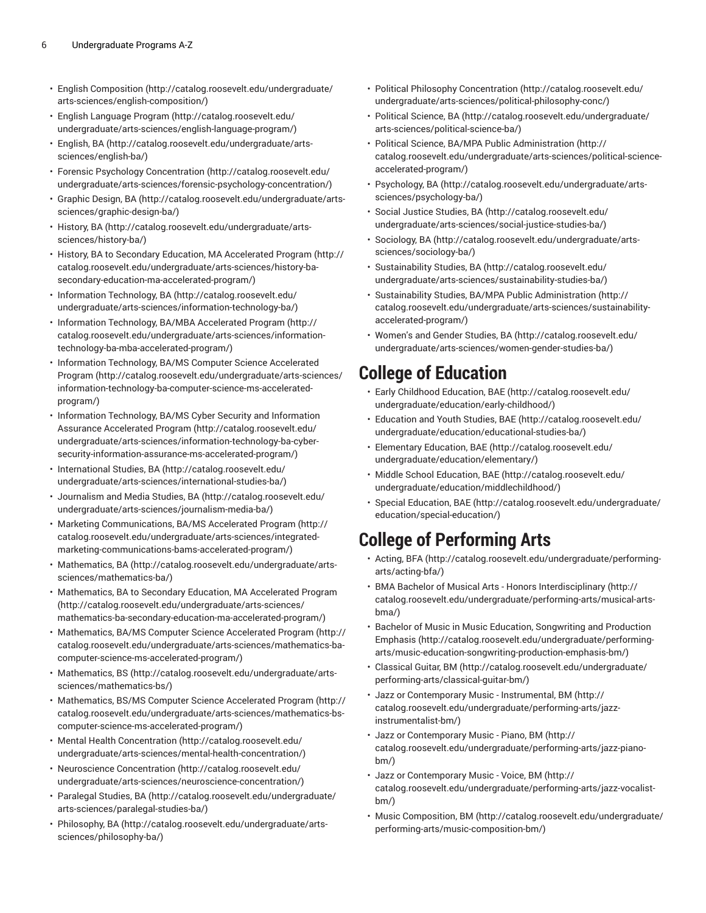- [English Composition](http://catalog.roosevelt.edu/undergraduate/arts-sciences/english-composition/) ([http://catalog.roosevelt.edu/undergraduate/](http://catalog.roosevelt.edu/undergraduate/arts-sciences/english-composition/) [arts-sciences/english-composition/\)](http://catalog.roosevelt.edu/undergraduate/arts-sciences/english-composition/)
- English [Language](http://catalog.roosevelt.edu/undergraduate/arts-sciences/english-language-program/) Program ([http://catalog.roosevelt.edu/](http://catalog.roosevelt.edu/undergraduate/arts-sciences/english-language-program/) [undergraduate/arts-sciences/english-language-program/\)](http://catalog.roosevelt.edu/undergraduate/arts-sciences/english-language-program/)
- [English, BA](http://catalog.roosevelt.edu/undergraduate/arts-sciences/english-ba/) ([http://catalog.roosevelt.edu/undergraduate/arts](http://catalog.roosevelt.edu/undergraduate/arts-sciences/english-ba/)[sciences/english-ba/\)](http://catalog.roosevelt.edu/undergraduate/arts-sciences/english-ba/)
- Forensic Psychology [Concentration \(http://catalog.roosevelt.edu/](http://catalog.roosevelt.edu/undergraduate/arts-sciences/forensic-psychology-concentration/) [undergraduate/arts-sciences/forensic-psychology-concentration/](http://catalog.roosevelt.edu/undergraduate/arts-sciences/forensic-psychology-concentration/))
- [Graphic Design, BA \(http://catalog.roosevelt.edu/undergraduate/arts](http://catalog.roosevelt.edu/undergraduate/arts-sciences/graphic-design-ba/)[sciences/graphic-design-ba/\)](http://catalog.roosevelt.edu/undergraduate/arts-sciences/graphic-design-ba/)
- [History,](http://catalog.roosevelt.edu/undergraduate/arts-sciences/history-ba/) BA ([http://catalog.roosevelt.edu/undergraduate/arts](http://catalog.roosevelt.edu/undergraduate/arts-sciences/history-ba/)[sciences/history-ba/](http://catalog.roosevelt.edu/undergraduate/arts-sciences/history-ba/))
- History, BA to Secondary Education, MA [Accelerated](http://catalog.roosevelt.edu/undergraduate/arts-sciences/history-ba-secondary-education-ma-accelerated-program/) Program [\(http://](http://catalog.roosevelt.edu/undergraduate/arts-sciences/history-ba-secondary-education-ma-accelerated-program/) [catalog.roosevelt.edu/undergraduate/arts-sciences/history-ba](http://catalog.roosevelt.edu/undergraduate/arts-sciences/history-ba-secondary-education-ma-accelerated-program/)[secondary-education-ma-accelerated-program/](http://catalog.roosevelt.edu/undergraduate/arts-sciences/history-ba-secondary-education-ma-accelerated-program/))
- Information [Technology,](http://catalog.roosevelt.edu/undergraduate/arts-sciences/information-technology-ba/) BA [\(http://catalog.roosevelt.edu/](http://catalog.roosevelt.edu/undergraduate/arts-sciences/information-technology-ba/) [undergraduate/arts-sciences/information-technology-ba/\)](http://catalog.roosevelt.edu/undergraduate/arts-sciences/information-technology-ba/)
- Information Technology, BA/MBA [Accelerated](http://catalog.roosevelt.edu/undergraduate/arts-sciences/information-technology-ba-mba-accelerated-program/) Program ([http://](http://catalog.roosevelt.edu/undergraduate/arts-sciences/information-technology-ba-mba-accelerated-program/) [catalog.roosevelt.edu/undergraduate/arts-sciences/information](http://catalog.roosevelt.edu/undergraduate/arts-sciences/information-technology-ba-mba-accelerated-program/)[technology-ba-mba-accelerated-program/](http://catalog.roosevelt.edu/undergraduate/arts-sciences/information-technology-ba-mba-accelerated-program/))
- Information Technology, BA/MS Computer Science [Accelerated](http://catalog.roosevelt.edu/undergraduate/arts-sciences/information-technology-ba-computer-science-ms-accelerated-program/) [Program](http://catalog.roosevelt.edu/undergraduate/arts-sciences/information-technology-ba-computer-science-ms-accelerated-program/) ([http://catalog.roosevelt.edu/undergraduate/arts-sciences/](http://catalog.roosevelt.edu/undergraduate/arts-sciences/information-technology-ba-computer-science-ms-accelerated-program/) [information-technology-ba-computer-science-ms-accelerated](http://catalog.roosevelt.edu/undergraduate/arts-sciences/information-technology-ba-computer-science-ms-accelerated-program/)[program/\)](http://catalog.roosevelt.edu/undergraduate/arts-sciences/information-technology-ba-computer-science-ms-accelerated-program/)
- Information [Technology,](http://catalog.roosevelt.edu/undergraduate/arts-sciences/information-technology-ba-cyber-security-information-assurance-ms-accelerated-program/) BA/MS Cyber Security and Information Assurance [Accelerated](http://catalog.roosevelt.edu/undergraduate/arts-sciences/information-technology-ba-cyber-security-information-assurance-ms-accelerated-program/) Program ([http://catalog.roosevelt.edu/](http://catalog.roosevelt.edu/undergraduate/arts-sciences/information-technology-ba-cyber-security-information-assurance-ms-accelerated-program/) [undergraduate/arts-sciences/information-technology-ba-cyber](http://catalog.roosevelt.edu/undergraduate/arts-sciences/information-technology-ba-cyber-security-information-assurance-ms-accelerated-program/)[security-information-assurance-ms-accelerated-program/\)](http://catalog.roosevelt.edu/undergraduate/arts-sciences/information-technology-ba-cyber-security-information-assurance-ms-accelerated-program/)
- [International Studies, BA \(http://catalog.roosevelt.edu/](http://catalog.roosevelt.edu/undergraduate/arts-sciences/international-studies-ba/) [undergraduate/arts-sciences/international-studies-ba/\)](http://catalog.roosevelt.edu/undergraduate/arts-sciences/international-studies-ba/)
- [Journalism and Media Studies, BA](http://catalog.roosevelt.edu/undergraduate/arts-sciences/journalism-media-ba/) ([http://catalog.roosevelt.edu/](http://catalog.roosevelt.edu/undergraduate/arts-sciences/journalism-media-ba/) [undergraduate/arts-sciences/journalism-media-ba/](http://catalog.roosevelt.edu/undergraduate/arts-sciences/journalism-media-ba/))
- Marketing [Communications,](http://catalog.roosevelt.edu/undergraduate/arts-sciences/integrated-marketing-communications-bams-accelerated-program/) BA/MS Accelerated Program [\(http://](http://catalog.roosevelt.edu/undergraduate/arts-sciences/integrated-marketing-communications-bams-accelerated-program/) [catalog.roosevelt.edu/undergraduate/arts-sciences/integrated](http://catalog.roosevelt.edu/undergraduate/arts-sciences/integrated-marketing-communications-bams-accelerated-program/)[marketing-communications-bams-accelerated-program/](http://catalog.roosevelt.edu/undergraduate/arts-sciences/integrated-marketing-communications-bams-accelerated-program/))
- [Mathematics, BA](http://catalog.roosevelt.edu/undergraduate/arts-sciences/mathematics-ba/) ([http://catalog.roosevelt.edu/undergraduate/arts](http://catalog.roosevelt.edu/undergraduate/arts-sciences/mathematics-ba/)[sciences/mathematics-ba/](http://catalog.roosevelt.edu/undergraduate/arts-sciences/mathematics-ba/))
- [Mathematics,](http://catalog.roosevelt.edu/undergraduate/arts-sciences/mathematics-ba-secondary-education-ma-accelerated-program/) BA to Secondary Education, MA Accelerated Program ([http://catalog.roosevelt.edu/undergraduate/arts-sciences/](http://catalog.roosevelt.edu/undergraduate/arts-sciences/mathematics-ba-secondary-education-ma-accelerated-program/) [mathematics-ba-secondary-education-ma-accelerated-program/\)](http://catalog.roosevelt.edu/undergraduate/arts-sciences/mathematics-ba-secondary-education-ma-accelerated-program/)
- [Mathematics,](http://catalog.roosevelt.edu/undergraduate/arts-sciences/mathematics-ba-computer-science-ms-accelerated-program/) BA/MS Computer Science Accelerated Program ([http://](http://catalog.roosevelt.edu/undergraduate/arts-sciences/mathematics-ba-computer-science-ms-accelerated-program/) [catalog.roosevelt.edu/undergraduate/arts-sciences/mathematics-ba](http://catalog.roosevelt.edu/undergraduate/arts-sciences/mathematics-ba-computer-science-ms-accelerated-program/)[computer-science-ms-accelerated-program/\)](http://catalog.roosevelt.edu/undergraduate/arts-sciences/mathematics-ba-computer-science-ms-accelerated-program/)
- [Mathematics, BS](http://catalog.roosevelt.edu/undergraduate/arts-sciences/mathematics-bs/) ([http://catalog.roosevelt.edu/undergraduate/arts](http://catalog.roosevelt.edu/undergraduate/arts-sciences/mathematics-bs/)[sciences/mathematics-bs/\)](http://catalog.roosevelt.edu/undergraduate/arts-sciences/mathematics-bs/)
- [Mathematics,](http://catalog.roosevelt.edu/undergraduate/arts-sciences/mathematics-bs-computer-science-ms-accelerated-program/) BS/MS Computer Science Accelerated Program ([http://](http://catalog.roosevelt.edu/undergraduate/arts-sciences/mathematics-bs-computer-science-ms-accelerated-program/) [catalog.roosevelt.edu/undergraduate/arts-sciences/mathematics-bs](http://catalog.roosevelt.edu/undergraduate/arts-sciences/mathematics-bs-computer-science-ms-accelerated-program/)[computer-science-ms-accelerated-program/\)](http://catalog.roosevelt.edu/undergraduate/arts-sciences/mathematics-bs-computer-science-ms-accelerated-program/)
- [Mental Health Concentration](http://catalog.roosevelt.edu/undergraduate/arts-sciences/mental-health-concentration/) [\(http://catalog.roosevelt.edu/](http://catalog.roosevelt.edu/undergraduate/arts-sciences/mental-health-concentration/) [undergraduate/arts-sciences/mental-health-concentration/\)](http://catalog.roosevelt.edu/undergraduate/arts-sciences/mental-health-concentration/)
- Neuroscience [Concentration](http://catalog.roosevelt.edu/undergraduate/arts-sciences/neuroscience-concentration/) ([http://catalog.roosevelt.edu/](http://catalog.roosevelt.edu/undergraduate/arts-sciences/neuroscience-concentration/) [undergraduate/arts-sciences/neuroscience-concentration/](http://catalog.roosevelt.edu/undergraduate/arts-sciences/neuroscience-concentration/))
- [Paralegal](http://catalog.roosevelt.edu/undergraduate/arts-sciences/paralegal-studies-ba/) Studies, BA [\(http://catalog.roosevelt.edu/undergraduate/](http://catalog.roosevelt.edu/undergraduate/arts-sciences/paralegal-studies-ba/) [arts-sciences/paralegal-studies-ba/\)](http://catalog.roosevelt.edu/undergraduate/arts-sciences/paralegal-studies-ba/)
- [Philosophy,](http://catalog.roosevelt.edu/undergraduate/arts-sciences/philosophy-ba/) BA ([http://catalog.roosevelt.edu/undergraduate/arts](http://catalog.roosevelt.edu/undergraduate/arts-sciences/philosophy-ba/)[sciences/philosophy-ba/](http://catalog.roosevelt.edu/undergraduate/arts-sciences/philosophy-ba/))
- Political Philosophy [Concentration](http://catalog.roosevelt.edu/undergraduate/arts-sciences/political-philosophy-conc/) ([http://catalog.roosevelt.edu/](http://catalog.roosevelt.edu/undergraduate/arts-sciences/political-philosophy-conc/) [undergraduate/arts-sciences/political-philosophy-conc/](http://catalog.roosevelt.edu/undergraduate/arts-sciences/political-philosophy-conc/))
- Political [Science,](http://catalog.roosevelt.edu/undergraduate/arts-sciences/political-science-ba/) BA [\(http://catalog.roosevelt.edu/undergraduate/](http://catalog.roosevelt.edu/undergraduate/arts-sciences/political-science-ba/) [arts-sciences/political-science-ba/\)](http://catalog.roosevelt.edu/undergraduate/arts-sciences/political-science-ba/)
- Political Science, BA/MPA Public [Administration](http://catalog.roosevelt.edu/undergraduate/arts-sciences/political-science-accelerated-program/) ([http://](http://catalog.roosevelt.edu/undergraduate/arts-sciences/political-science-accelerated-program/) [catalog.roosevelt.edu/undergraduate/arts-sciences/political-science](http://catalog.roosevelt.edu/undergraduate/arts-sciences/political-science-accelerated-program/)[accelerated-program/](http://catalog.roosevelt.edu/undergraduate/arts-sciences/political-science-accelerated-program/))
- [Psychology,](http://catalog.roosevelt.edu/undergraduate/arts-sciences/psychology-ba/) BA ([http://catalog.roosevelt.edu/undergraduate/arts](http://catalog.roosevelt.edu/undergraduate/arts-sciences/psychology-ba/)[sciences/psychology-ba/](http://catalog.roosevelt.edu/undergraduate/arts-sciences/psychology-ba/))
- [Social Justice Studies, BA](http://catalog.roosevelt.edu/undergraduate/arts-sciences/social-justice-studies-ba/) ([http://catalog.roosevelt.edu/](http://catalog.roosevelt.edu/undergraduate/arts-sciences/social-justice-studies-ba/) [undergraduate/arts-sciences/social-justice-studies-ba/](http://catalog.roosevelt.edu/undergraduate/arts-sciences/social-justice-studies-ba/))
- [Sociology,](http://catalog.roosevelt.edu/undergraduate/arts-sciences/sociology-ba/) BA ([http://catalog.roosevelt.edu/undergraduate/arts](http://catalog.roosevelt.edu/undergraduate/arts-sciences/sociology-ba/)[sciences/sociology-ba/\)](http://catalog.roosevelt.edu/undergraduate/arts-sciences/sociology-ba/)
- [Sustainability Studies, BA \(http://catalog.roosevelt.edu/](http://catalog.roosevelt.edu/undergraduate/arts-sciences/sustainability-studies-ba/) [undergraduate/arts-sciences/sustainability-studies-ba/](http://catalog.roosevelt.edu/undergraduate/arts-sciences/sustainability-studies-ba/))
- Sustainability Studies, BA/MPA Public [Administration](http://catalog.roosevelt.edu/undergraduate/arts-sciences/sustainability-accelerated-program/) ([http://](http://catalog.roosevelt.edu/undergraduate/arts-sciences/sustainability-accelerated-program/) [catalog.roosevelt.edu/undergraduate/arts-sciences/sustainability](http://catalog.roosevelt.edu/undergraduate/arts-sciences/sustainability-accelerated-program/)[accelerated-program/](http://catalog.roosevelt.edu/undergraduate/arts-sciences/sustainability-accelerated-program/))
- [Women's](http://catalog.roosevelt.edu/undergraduate/arts-sciences/women-gender-studies-ba/) and Gender Studies, BA [\(http://catalog.roosevelt.edu/](http://catalog.roosevelt.edu/undergraduate/arts-sciences/women-gender-studies-ba/) [undergraduate/arts-sciences/women-gender-studies-ba/](http://catalog.roosevelt.edu/undergraduate/arts-sciences/women-gender-studies-ba/))

### **College of Education**

- Early Childhood [Education,](http://catalog.roosevelt.edu/undergraduate/education/early-childhood/) BAE ([http://catalog.roosevelt.edu/](http://catalog.roosevelt.edu/undergraduate/education/early-childhood/) [undergraduate/education/early-childhood/\)](http://catalog.roosevelt.edu/undergraduate/education/early-childhood/)
- [Education](http://catalog.roosevelt.edu/undergraduate/education/educational-studies-ba/) and Youth Studies, BAE [\(http://catalog.roosevelt.edu/](http://catalog.roosevelt.edu/undergraduate/education/educational-studies-ba/) [undergraduate/education/educational-studies-ba/\)](http://catalog.roosevelt.edu/undergraduate/education/educational-studies-ba/)
- [Elementary](http://catalog.roosevelt.edu/undergraduate/education/elementary/) Education, BAE [\(http://catalog.roosevelt.edu/](http://catalog.roosevelt.edu/undergraduate/education/elementary/) [undergraduate/education/elementary/](http://catalog.roosevelt.edu/undergraduate/education/elementary/))
- Middle School [Education,](http://catalog.roosevelt.edu/undergraduate/education/middlechildhood/) BAE ([http://catalog.roosevelt.edu/](http://catalog.roosevelt.edu/undergraduate/education/middlechildhood/) [undergraduate/education/middlechildhood/\)](http://catalog.roosevelt.edu/undergraduate/education/middlechildhood/)
- Special [Education,](http://catalog.roosevelt.edu/undergraduate/education/special-education/) BAE [\(http://catalog.roosevelt.edu/undergraduate/](http://catalog.roosevelt.edu/undergraduate/education/special-education/) [education/special-education/](http://catalog.roosevelt.edu/undergraduate/education/special-education/))

# **College of Performing Arts**

- [Acting,](http://catalog.roosevelt.edu/undergraduate/performing-arts/acting-bfa/) BFA ([http://catalog.roosevelt.edu/undergraduate/performing](http://catalog.roosevelt.edu/undergraduate/performing-arts/acting-bfa/)[arts/acting-bfa/\)](http://catalog.roosevelt.edu/undergraduate/performing-arts/acting-bfa/)
- BMA Bachelor of Musical Arts Honors [Interdisciplinary](http://catalog.roosevelt.edu/undergraduate/performing-arts/musical-arts-bma/) ([http://](http://catalog.roosevelt.edu/undergraduate/performing-arts/musical-arts-bma/) [catalog.roosevelt.edu/undergraduate/performing-arts/musical-arts](http://catalog.roosevelt.edu/undergraduate/performing-arts/musical-arts-bma/)[bma/\)](http://catalog.roosevelt.edu/undergraduate/performing-arts/musical-arts-bma/)
- Bachelor of Music in Music Education, [Songwriting](http://catalog.roosevelt.edu/undergraduate/performing-arts/music-education-songwriting-production-emphasis-bm/) and Production [Emphasis](http://catalog.roosevelt.edu/undergraduate/performing-arts/music-education-songwriting-production-emphasis-bm/) ([http://catalog.roosevelt.edu/undergraduate/performing](http://catalog.roosevelt.edu/undergraduate/performing-arts/music-education-songwriting-production-emphasis-bm/)[arts/music-education-songwriting-production-emphasis-bm/\)](http://catalog.roosevelt.edu/undergraduate/performing-arts/music-education-songwriting-production-emphasis-bm/)
- [Classical](http://catalog.roosevelt.edu/undergraduate/performing-arts/classical-guitar-bm/) Guitar, BM [\(http://catalog.roosevelt.edu/undergraduate/](http://catalog.roosevelt.edu/undergraduate/performing-arts/classical-guitar-bm/) [performing-arts/classical-guitar-bm/\)](http://catalog.roosevelt.edu/undergraduate/performing-arts/classical-guitar-bm/)
- Jazz or [Contemporary](http://catalog.roosevelt.edu/undergraduate/performing-arts/jazz-instrumentalist-bm/) Music Instrumental, BM [\(http://](http://catalog.roosevelt.edu/undergraduate/performing-arts/jazz-instrumentalist-bm/) [catalog.roosevelt.edu/undergraduate/performing-arts/jazz](http://catalog.roosevelt.edu/undergraduate/performing-arts/jazz-instrumentalist-bm/)[instrumentalist-bm/](http://catalog.roosevelt.edu/undergraduate/performing-arts/jazz-instrumentalist-bm/))
- Jazz or [Contemporary](http://catalog.roosevelt.edu/undergraduate/performing-arts/jazz-piano-bm/) Music Piano, BM ([http://](http://catalog.roosevelt.edu/undergraduate/performing-arts/jazz-piano-bm/) [catalog.roosevelt.edu/undergraduate/performing-arts/jazz-piano](http://catalog.roosevelt.edu/undergraduate/performing-arts/jazz-piano-bm/)[bm/](http://catalog.roosevelt.edu/undergraduate/performing-arts/jazz-piano-bm/))
- Jazz or [Contemporary](http://catalog.roosevelt.edu/undergraduate/performing-arts/jazz-vocalist-bm/) Music Voice, BM ([http://](http://catalog.roosevelt.edu/undergraduate/performing-arts/jazz-vocalist-bm/) [catalog.roosevelt.edu/undergraduate/performing-arts/jazz-vocalist](http://catalog.roosevelt.edu/undergraduate/performing-arts/jazz-vocalist-bm/)[bm/](http://catalog.roosevelt.edu/undergraduate/performing-arts/jazz-vocalist-bm/))
- [Music Composition, BM \(http://catalog.roosevelt.edu/undergraduate/](http://catalog.roosevelt.edu/undergraduate/performing-arts/music-composition-bm/) [performing-arts/music-composition-bm/\)](http://catalog.roosevelt.edu/undergraduate/performing-arts/music-composition-bm/)